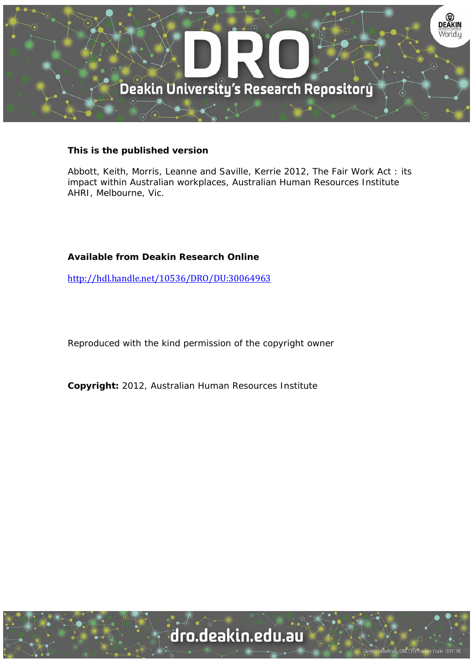

#### **This is the published version**

Abbott, Keith, Morris, Leanne and Saville, Kerrie 2012, The Fair Work Act : its impact within Australian workplaces, Australian Human Resources Institute AHRI, Melbourne, Vic.

#### **Available from Deakin Research Online**

http://hdl.handle.net/10536/DRO/DU:30064963

Reproduced with the kind permission of the copyright owner

**Copyright:** 2012, Australian Human Resources Institute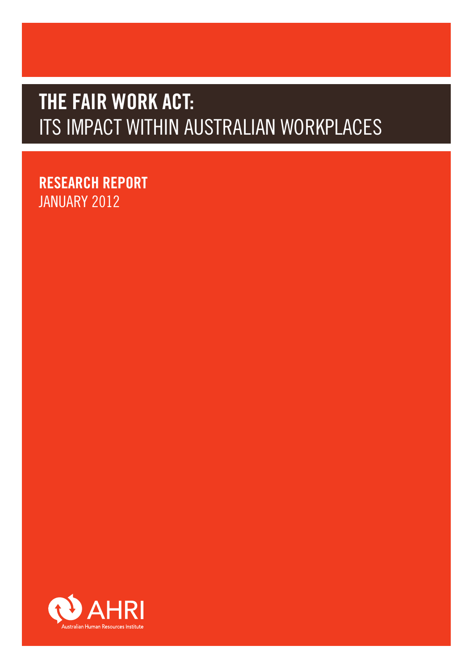# **RESEARCH REPORT AND IST IN A THE REPORT OF A LIGHT AND MODE.**<br>REPORT THE REPORT OF A LIGHT AND MODE AND A LIGHT OF A LIGHT AND MODE. **THE FAIR WORK ACT:** ITS IMPACT WITHIN AUSTRALIAN WORKPLACES

**THE FAIR WORK ACT: RESEARCH REPORT IANUARY 2012** Management with the contract of the contract of the contract of the contract of the contract of the contract of the contract of the contract of the contract of the contract of the contract of the contract of

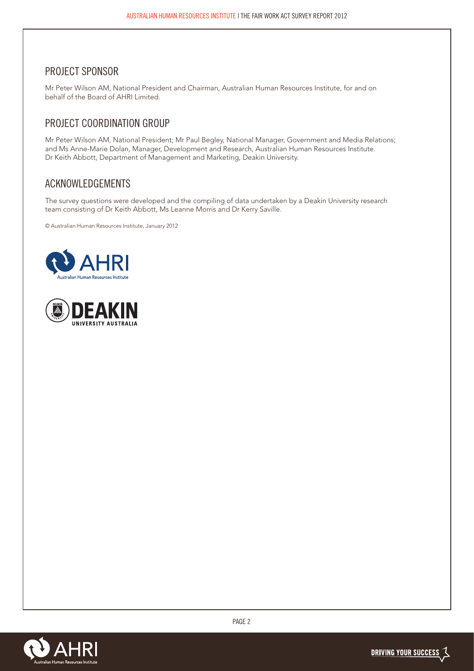#### PROJECT SPONSOR

Mr Peter Wilson AM, National President and Chairman, Australian Human Resources Institute, for and on behalf of the Board of AHRI Limited.

## PROJECT COORDINATION GROUP

Mr Peter Wilson AM, National President; Mr Paul Begley, National Manager, Government and Media Relations; and Ms Anne-Marie Dolan, Manager, Development and Research, Australian Human Resources Institute. Dr Keith Abbott, Department of Management and Marketing, Deakin University.

### ACKNOWLEDGEMENTS

The survey questions were developed and the compiling of data undertaken by a Deakin University research team consisting of Dr Keith Abbott, Ms Leanne Morris and Dr Kerry Saville.

© Australian Human Resources Institute, January 2012





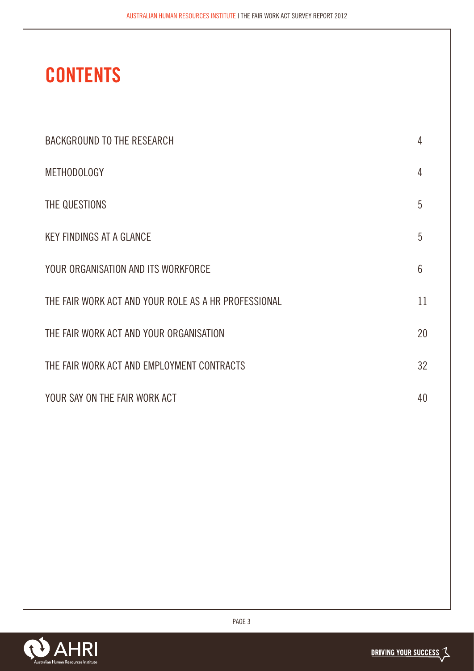# **CONTENTS**

| <b>BACKGROUND TO THE RESEARCH</b>                    | 4  |
|------------------------------------------------------|----|
| <b>METHODOLOGY</b>                                   | 4  |
| THE QUESTIONS                                        | 5  |
| <b>KEY FINDINGS AT A GLANCE</b>                      | 5  |
| YOUR ORGANISATION AND ITS WORKFORCE                  | 6  |
| THE FAIR WORK ACT AND YOUR ROLE AS A HR PROFESSIONAL | 11 |
| THE FAIR WORK ACT AND YOUR ORGANISATION              | 20 |
| THE FAIR WORK ACT AND EMPLOYMENT CONTRACTS           | 32 |
| YOUR SAY ON THE FAIR WORK ACT                        | 40 |

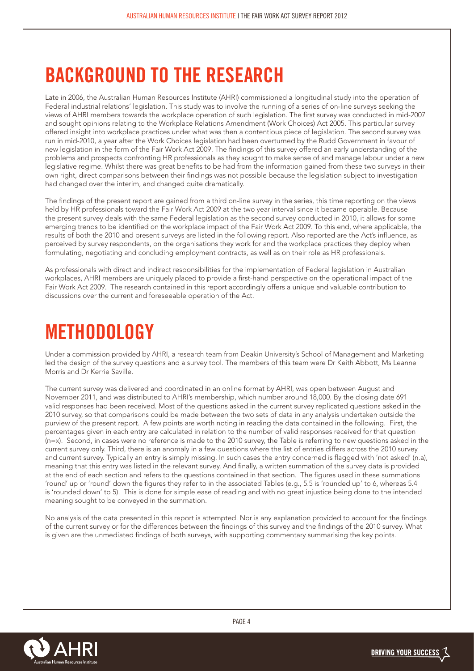# **BACKGROUND TO THE RESEARCH**

Late in 2006, the Australian Human Resources Institute (AHRI) commissioned a longitudinal study into the operation of Federal industrial relations' legislation. This study was to involve the running of a series of on-line surveys seeking the views of AHRI members towards the workplace operation of such legislation. The first survey was conducted in mid-2007 and sought opinions relating to the Workplace Relations Amendment (Work Choices) Act 2005. This particular survey offered insight into workplace practices under what was then a contentious piece of legislation. The second survey was run in mid-2010, a year after the Work Choices legislation had been overturned by the Rudd Government in favour of new legislation in the form of the Fair Work Act 2009. The findings of this survey offered an early understanding of the problems and prospects confronting HR professionals as they sought to make sense of and manage labour under a new legislative regime. Whilst there was great benefits to be had from the information gained from these two surveys in their own right, direct comparisons between their findings was not possible because the legislation subject to investigation had changed over the interim, and changed quite dramatically.

The findings of the present report are gained from a third on-line survey in the series, this time reporting on the views held by HR professionals toward the Fair Work Act 2009 at the two year interval since it became operable. Because the present survey deals with the same Federal legislation as the second survey conducted in 2010, it allows for some emerging trends to be identified on the workplace impact of the Fair Work Act 2009. To this end, where applicable, the results of both the 2010 and present surveys are listed in the following report. Also reported are the Act's influence, as perceived by survey respondents, on the organisations they work for and the workplace practices they deploy when formulating, negotiating and concluding employment contracts, as well as on their role as HR professionals.

As professionals with direct and indirect responsibilities for the implementation of Federal legislation in Australian workplaces, AHRI members are uniquely placed to provide a first-hand perspective on the operational impact of the Fair Work Act 2009. The research contained in this report accordingly offers a unique and valuable contribution to discussions over the current and foreseeable operation of the Act.

# **METHODOLOGY**

Under a commission provided by AHRI, a research team from Deakin University's School of Management and Marketing led the design of the survey questions and a survey tool. The members of this team were Dr Keith Abbott, Ms Leanne Morris and Dr Kerrie Saville.

The current survey was delivered and coordinated in an online format by AHRI, was open between August and November 2011, and was distributed to AHRI's membership, which number around 18,000. By the closing date 691 valid responses had been received. Most of the questions asked in the current survey replicated questions asked in the 2010 survey, so that comparisons could be made between the two sets of data in any analysis undertaken outside the purview of the present report. A few points are worth noting in reading the data contained in the following. First, the percentages given in each entry are calculated in relation to the number of valid responses received for that question (n=x). Second, in cases were no reference is made to the 2010 survey, the Table is referring to new questions asked in the current survey only. Third, there is an anomaly in a few questions where the list of entries differs across the 2010 survey and current survey. Typically an entry is simply missing. In such cases the entry concerned is flagged with 'not asked' (n.a), meaning that this entry was listed in the relevant survey. And finally, a written summation of the survey data is provided at the end of each section and refers to the questions contained in that section. The figures used in these summations 'round' up or 'round' down the figures they refer to in the associated Tables (e.g., 5.5 is 'rounded up' to 6, whereas 5.4 is 'rounded down' to 5). This is done for simple ease of reading and with no great injustice being done to the intended meaning sought to be conveyed in the summation.

No analysis of the data presented in this report is attempted. Nor is any explanation provided to account for the findings of the current survey or for the differences between the findings of this survey and the findings of the 2010 survey. What is given are the unmediated findings of both surveys, with supporting commentary summarising the key points.

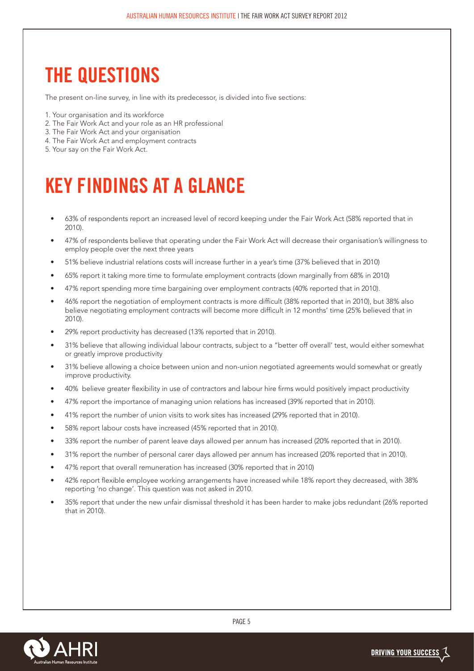# **THE QUESTIONS**

The present on-line survey, in line with its predecessor, is divided into five sections:

- 1. Your organisation and its workforce
- 2. The Fair Work Act and your role as an HR professional
- 3. The Fair Work Act and your organisation
- 4. The Fair Work Act and employment contracts
- 5. Your say on the Fair Work Act.

# **KEY FINDINGS AT A GLANCE**

- 63% of respondents report an increased level of record keeping under the Fair Work Act (58% reported that in 2010).
- 47% of respondents believe that operating under the Fair Work Act will decrease their organisation's willingness to employ people over the next three years
- 51% believe industrial relations costs will increase further in a year's time (37% believed that in 2010)
- 65% report it taking more time to formulate employment contracts (down marginally from 68% in 2010)
- 47% report spending more time bargaining over employment contracts (40% reported that in 2010).
- 46% report the negotiation of employment contracts is more difficult (38% reported that in 2010), but 38% also believe negotiating employment contracts will become more difficult in 12 months' time (25% believed that in 2010).
- 29% report productivity has decreased (13% reported that in 2010).
- 31% believe that allowing individual labour contracts, subject to a "better off overall' test, would either somewhat or greatly improve productivity
- 31% believe allowing a choice between union and non-union negotiated agreements would somewhat or greatly improve productivity.
- 40% believe greater flexibility in use of contractors and labour hire firms would positively impact productivity
- 47% report the importance of managing union relations has increased (39% reported that in 2010).
- 41% report the number of union visits to work sites has increased (29% reported that in 2010).
- 58% report labour costs have increased (45% reported that in 2010).
- 33% report the number of parent leave days allowed per annum has increased (20% reported that in 2010).
- 31% report the number of personal carer days allowed per annum has increased (20% reported that in 2010).
- 47% report that overall remuneration has increased (30% reported that in 2010)
- 42% report flexible employee working arrangements have increased while 18% report they decreased, with 38% reporting 'no change'. This question was not asked in 2010.
- 35% report that under the new unfair dismissal threshold it has been harder to make jobs redundant (26% reported that in 2010).

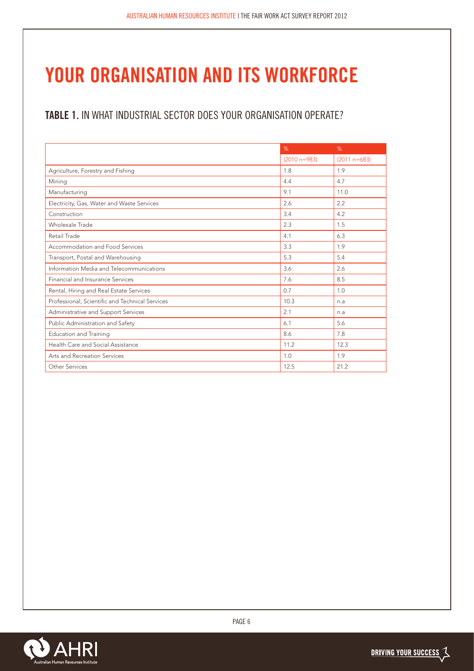# **YOUR ORGANISATION AND ITS WORKFORCE**

# **TABLE 1.** IN WHAT INDUSTRIAL SECTOR DOES YOUR ORGANISATION OPERATE?

|                                                 | %                | %              |
|-------------------------------------------------|------------------|----------------|
|                                                 | $(2010 n = 983)$ | $(2011 n=683)$ |
| Agriculture, Forestry and Fishing               | 1.8              | 1.9            |
| Mining                                          | 4.4              | 4.7            |
| Manufacturing                                   | 9.1              | 11.0           |
| Electricity, Gas, Water and Waste Services      | 2.6              | 2.2            |
| Construction                                    | 3.4              | 4.2            |
| Wholesale Trade                                 | 2.3              | 1.5            |
| Retail Trade                                    | 4.1              | 6.3            |
| Accommodation and Food Services                 | 3.3              | 1.9            |
| Transport, Postal and Warehousing               | 5.3              | 5.4            |
| Information Media and Telecommunications        | 3.6              | 2.6            |
| Financial and Insurance Services                | 7.6              | 8.5            |
| Rental, Hiring and Real Estate Services         | 0.7              | 1.0            |
| Professional, Scientific and Technical Services | 10.3             | n.a            |
| Administrative and Support Services             | 2.1              | n.a            |
| Public Administration and Safety                | 6.1              | 5.6            |
| <b>Education and Training</b>                   | 8.6              | 7.8            |
| Health Care and Social Assistance               | 11.2             | 12.3           |
| Arts and Recreation Services                    | 1.0              | 1.9            |
| Other Services                                  | 12.5             | 21.2           |

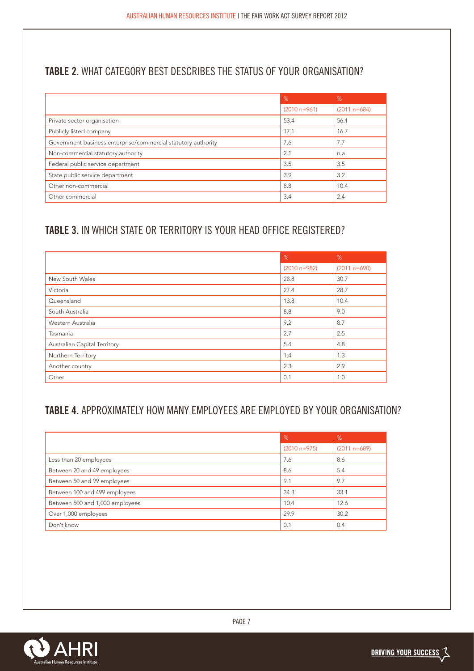# **TABLE 2.** WHAT CATEGORY BEST DESCRIBES THE STATUS OF YOUR ORGANISATION?

|                                                               | %                | %              |
|---------------------------------------------------------------|------------------|----------------|
|                                                               | $(2010 n = 961)$ | $(2011 n=684)$ |
| Private sector organisation                                   | 53.4             | 56.1           |
| Publicly listed company                                       | 17.1             | 16.7           |
| Government business enterprise/commercial statutory authority | 7.6              | 7.7            |
| Non-commercial statutory authority                            | 2.1              | n.a            |
| Federal public service department                             | 3.5              | 3.5            |
| State public service department                               | 3.9              | 3.2            |
| Other non-commercial                                          | 8.8              | 10.4           |
| Other commercial                                              | 3.4              | 2.4            |

# **TABLE 3.** IN WHICH STATE OR TERRITORY IS YOUR HEAD OFFICE REGISTERED?

|                              | %                | %              |
|------------------------------|------------------|----------------|
|                              | $(2010 n = 982)$ | $(2011 n=690)$ |
| New South Wales              | 28.8             | 30.7           |
| Victoria                     | 27.4             | 28.7           |
| Queensland                   | 13.8             | 10.4           |
| South Australia              | 8.8              | 9.0            |
| Western Australia            | 9.2              | 8.7            |
| Tasmania                     | 2.7              | 2.5            |
| Australian Capital Territory | 5.4              | 4.8            |
| Northern Territory           | 1.4              | 1.3            |
| Another country              | 2.3              | 2.9            |
| Other                        | 0.1              | 1.0            |

## **TABLE 4.** APPROXIMATELY HOW MANY EMPLOYEES ARE EMPLOYED BY YOUR ORGANISATION?

|                                 | %              | %              |
|---------------------------------|----------------|----------------|
|                                 | $(2010 n=975)$ | $(2011 n=689)$ |
| Less than 20 employees          | 7.6            | 8.6            |
| Between 20 and 49 employees     | 8.6            | 5.4            |
| Between 50 and 99 employees     | 9.1            | 9.7            |
| Between 100 and 499 employees   | 34.3           | 33.1           |
| Between 500 and 1,000 employees | 10.4           | 12.6           |
| Over 1,000 employees            | 29.9           | 30.2           |
| Don't know                      | 0.1            | 0.4            |

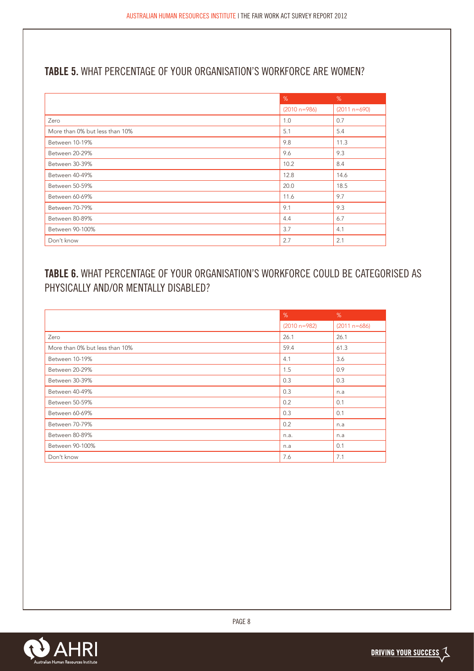## **TABLE 5.** WHAT PERCENTAGE OF YOUR ORGANISATION'S WORKFORCE ARE WOMEN?

|                                | %              | %              |
|--------------------------------|----------------|----------------|
|                                | $(2010 n=986)$ | $(2011 n=690)$ |
| Zero                           | 1.0            | 0.7            |
| More than 0% but less than 10% | 5.1            | 5.4            |
| Between 10-19%                 | 9.8            | 11.3           |
| Between 20-29%                 | 9.6            | 9.3            |
| Between 30-39%                 | 10.2           | 8.4            |
| Between 40-49%                 | 12.8           | 14.6           |
| Between 50-59%                 | 20.0           | 18.5           |
| Between 60-69%                 | 11.6           | 9.7            |
| Between 70-79%                 | 9.1            | 9.3            |
| Between 80-89%                 | 4.4            | 6.7            |
| Between 90-100%                | 3.7            | 4.1            |
| Don't know                     | 2.7            | 2.1            |

# **TABLE 6.** WHAT PERCENTAGE OF YOUR ORGANISATION'S WORKFORCE COULD BE CATEGORISED AS PHYSICALLY AND/OR MENTALLY DISABLED?

|                                | %                | %              |
|--------------------------------|------------------|----------------|
|                                | $(2010 n = 982)$ | $(2011 n=686)$ |
| Zero                           | 26.1             | 26.1           |
| More than 0% but less than 10% | 59.4             | 61.3           |
| Between 10-19%                 | 4.1              | 3.6            |
| Between 20-29%                 | 1.5              | 0.9            |
| Between 30-39%                 | 0.3              | 0.3            |
| Between 40-49%                 | 0.3              | n.a            |
| Between 50-59%                 | 0.2              | 0.1            |
| Between 60-69%                 | 0.3              | 0.1            |
| Between 70-79%                 | 0.2              | n.a            |
| Between 80-89%                 | n.a.             | n.a            |
| Between 90-100%                | n.a              | 0.1            |
| Don't know                     | 7.6              | 7.1            |

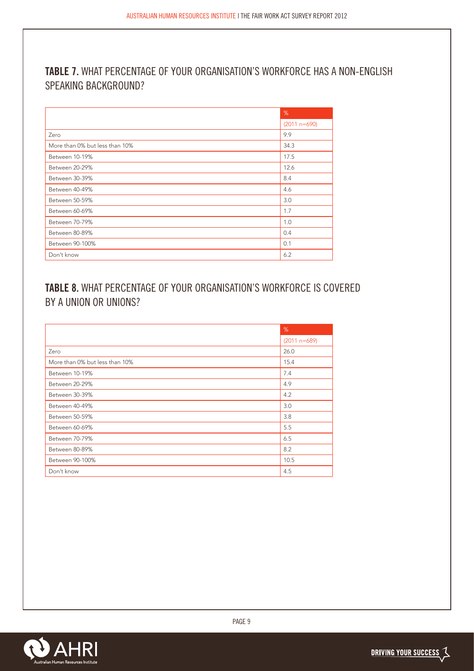## **TABLE 7.** WHAT PERCENTAGE OF YOUR ORGANISATION'S WORKFORCE HAS A NON-ENGLISH SPEAKING BACKGROUND?

|                                | %              |
|--------------------------------|----------------|
|                                | $(2011 n=690)$ |
| Zero                           | 9.9            |
| More than 0% but less than 10% | 34.3           |
| Between 10-19%                 | 17.5           |
| Between 20-29%                 | 12.6           |
| Between 30-39%                 | 8.4            |
| Between 40-49%                 | 4.6            |
| Between 50-59%                 | 3.0            |
| Between 60-69%                 | 1.7            |
| Between 70-79%                 | 1.0            |
| Between 80-89%                 | 0.4            |
| Between 90-100%                | 0.1            |
| Don't know                     | 6.2            |

## **TABLE 8.** WHAT PERCENTAGE OF YOUR ORGANISATION'S WORKFORCE IS COVERED BY A UNION OR UNIONS?

|                                | %              |
|--------------------------------|----------------|
|                                | $(2011 n=689)$ |
| Zero                           | 26.0           |
| More than 0% but less than 10% | 15.4           |
| Between 10-19%                 | 7.4            |
| Between 20-29%                 | 4.9            |
| Between 30-39%                 | 4.2            |
| Between 40-49%                 | 3.0            |
| Between 50-59%                 | 3.8            |
| Between 60-69%                 | 5.5            |
| Between 70-79%                 | 6.5            |
| Between 80-89%                 | 8.2            |
| Between 90-100%                | 10.5           |
| Don't know                     | 4.5            |

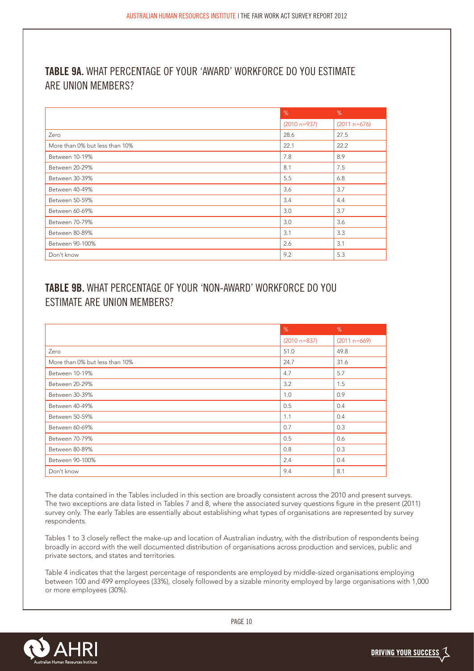### **TABLE 9A.** WHAT PERCENTAGE OF YOUR 'AWARD' WORKFORCE DO YOU ESTIMATE ARE UNION MEMBERS?

|                                | %              | %              |
|--------------------------------|----------------|----------------|
|                                | $(2010 n=937)$ | $(2011 n=676)$ |
| Zero                           | 28.6           | 27.5           |
| More than 0% but less than 10% | 22.1           | 22.2           |
| Between 10-19%                 | 7.8            | 8.9            |
| Between 20-29%                 | 8.1            | 7.5            |
| Between 30-39%                 | 5.5            | 6.8            |
| Between 40-49%                 | 3.6            | 3.7            |
| Between 50-59%                 | 3.4            | 4.4            |
| Between 60-69%                 | 3.0            | 3.7            |
| Between 70-79%                 | 3.0            | 3.6            |
| Between 80-89%                 | 3.1            | 3.3            |
| Between 90-100%                | 2.6            | 3.1            |
| Don't know                     | 9.2            | 5.3            |

## **TABLE 9B.** WHAT PERCENTAGE OF YOUR 'NON-AWARD' WORKFORCE DO YOU ESTIMATE ARE UNION MEMBERS?

|                                | %                | %              |
|--------------------------------|------------------|----------------|
|                                | $(2010 n = 837)$ | $(2011 n=669)$ |
| Zero                           | 51.0             | 49.8           |
| More than 0% but less than 10% | 24.7             | 31.6           |
| Between 10-19%                 | 4.7              | 5.7            |
| Between 20-29%                 | 3.2              | 1.5            |
| Between 30-39%                 | 1.0              | 0.9            |
| Between 40-49%                 | 0.5              | 0.4            |
| Between 50-59%                 | 1.1              | 0.4            |
| Between 60-69%                 | 0.7              | 0.3            |
| Between 70-79%                 | 0.5              | 0.6            |
| Between 80-89%                 | 0.8              | 0.3            |
| Between 90-100%                | 2.4              | 0.4            |
| Don't know                     | 9.4              | 8.1            |

The data contained in the Tables included in this section are broadly consistent across the 2010 and present surveys. The two exceptions are data listed in Tables 7 and 8, where the associated survey questions figure in the present (2011) survey only. The early Tables are essentially about establishing what types of organisations are represented by survey respondents.

Tables 1 to 3 closely reflect the make-up and location of Australian industry, with the distribution of respondents being broadly in accord with the well documented distribution of organisations across production and services, public and private sectors, and states and territories.

Table 4 indicates that the largest percentage of respondents are employed by middle-sized organisations employing between 100 and 499 employees (33%), closely followed by a sizable minority employed by large organisations with 1,000 or more employees (30%).

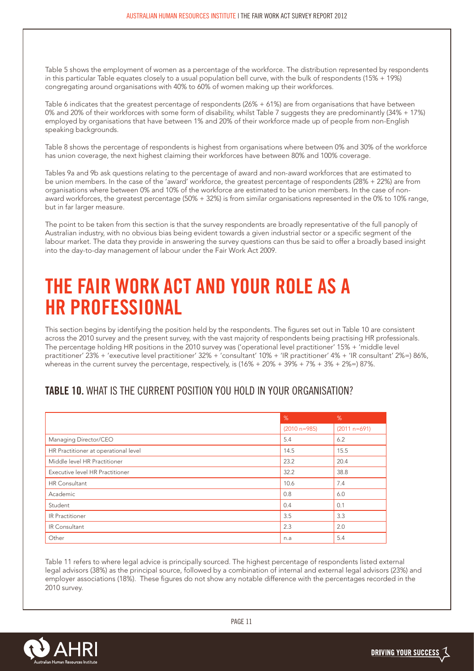Table 5 shows the employment of women as a percentage of the workforce. The distribution represented by respondents in this particular Table equates closely to a usual population bell curve, with the bulk of respondents (15% + 19%) congregating around organisations with 40% to 60% of women making up their workforces.

Table 6 indicates that the greatest percentage of respondents (26% + 61%) are from organisations that have between 0% and 20% of their workforces with some form of disability, whilst Table 7 suggests they are predominantly (34% + 17%) employed by organisations that have between 1% and 20% of their workforce made up of people from non-English speaking backgrounds.

Table 8 shows the percentage of respondents is highest from organisations where between 0% and 30% of the workforce has union coverage, the next highest claiming their workforces have between 80% and 100% coverage.

Tables 9a and 9b ask questions relating to the percentage of award and non-award workforces that are estimated to be union members. In the case of the 'award' workforce, the greatest percentage of respondents (28% + 22%) are from organisations where between 0% and 10% of the workforce are estimated to be union members. In the case of nonaward workforces, the greatest percentage (50% + 32%) is from similar organisations represented in the 0% to 10% range, but in far larger measure.

The point to be taken from this section is that the survey respondents are broadly representative of the full panoply of Australian industry, with no obvious bias being evident towards a given industrial sector or a specific segment of the labour market. The data they provide in answering the survey questions can thus be said to offer a broadly based insight into the day-to-day management of labour under the Fair Work Act 2009.

# **THE FAIR WORK ACT AND YOUR ROLE AS A HR PROFESSIONAL**

This section begins by identifying the position held by the respondents. The figures set out in Table 10 are consistent across the 2010 survey and the present survey, with the vast majority of respondents being practising HR professionals. The percentage holding HR positions in the 2010 survey was ('operational level practitioner' 15% + 'middle level practitioner' 23% + 'executive level practitioner' 32% + 'consultant' 10% + 'IR practitioner' 4% + 'IR consultant' 2%=) 86%, whereas in the current survey the percentage, respectively, is  $(16% + 20% + 39% + 7% + 3% + 2% =)$  87%.

#### **TABLE 10.** WHAT IS THE CURRENT POSITION YOU HOLD IN YOUR ORGANISATION?

|                                      | %                | %              |
|--------------------------------------|------------------|----------------|
|                                      | $(2010 n = 985)$ | $(2011 n=691)$ |
| Managing Director/CEO                | 5.4              | 6.2            |
| HR Practitioner at operational level | 14.5             | 15.5           |
| Middle level HR Practitioner         | 23.2             | 20.4           |
| Executive level HR Practitioner      | 32.2             | 38.8           |
| <b>HR</b> Consultant                 | 10.6             | 7.4            |
| Academic                             | 0.8              | 6.0            |
| Student                              | 0.4              | 0.1            |
| <b>IR Practitioner</b>               | 3.5              | 3.3            |
| IR Consultant                        | 2.3              | 2.0            |
| Other                                | n.a              | 5.4            |

Table 11 refers to where legal advice is principally sourced. The highest percentage of respondents listed external legal advisors (38%) as the principal source, followed by a combination of internal and external legal advisors (23%) and employer associations (18%). These figures do not show any notable difference with the percentages recorded in the 2010 survey.

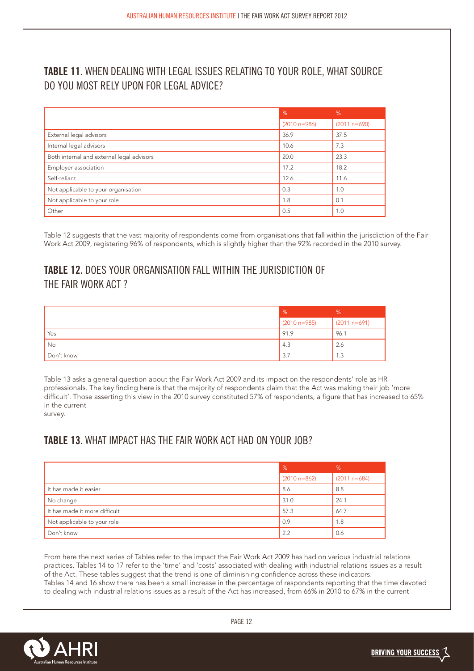## **TABLE 11.** WHEN DEALING WITH LEGAL ISSUES RELATING TO YOUR ROLE, WHAT SOURCE DO YOU MOST RELY UPON FOR LEGAL ADVICE?

|                                           | %                | %              |
|-------------------------------------------|------------------|----------------|
|                                           | $(2010 n = 986)$ | $(2011 n=690)$ |
| External legal advisors                   | 36.9             | 37.5           |
| Internal legal advisors                   | 10.6             | 7.3            |
| Both internal and external legal advisors | 20.0             | 23.3           |
| Employer association                      | 17.2             | 18.2           |
| Self-reliant                              | 12.6             | 11.6           |
| Not applicable to your organisation       | 0.3              | 1.0            |
| Not applicable to your role               | 1.8              | 0.1            |
| Other                                     | 0.5              | 1.0            |

Table 12 suggests that the vast majority of respondents come from organisations that fall within the jurisdiction of the Fair Work Act 2009, registering 96% of respondents, which is slightly higher than the 92% recorded in the 2010 survey.

## **TABLE 12.** DOES YOUR ORGANISATION FALL WITHIN THE JURISDICTION OF THE FAIR WORK ACT ?

|            | $\frac{9}{6}$    | %                     |
|------------|------------------|-----------------------|
|            | $(2010 n = 985)$ | $(2011 n=691)$        |
| Yes        | 91.9             | 96.1                  |
| No         | 4.3              | 2.6                   |
| Don't know | 3.7              | 1.3<br>$\overline{A}$ |

Table 13 asks a general question about the Fair Work Act 2009 and its impact on the respondents' role as HR professionals. The key finding here is that the majority of respondents claim that the Act was making their job 'more difficult'. Those asserting this view in the 2010 survey constituted 57% of respondents, a figure that has increased to 65% in the current survey.

### **TABLE 13.** WHAT IMPACT HAS THE FAIR WORK ACT HAD ON YOUR JOB?

|                               | $\%$           | %              |
|-------------------------------|----------------|----------------|
|                               | $(2010 n=862)$ | $(2011 n=684)$ |
| It has made it easier         | 8.6            | 8.8            |
| No change                     | 31.0           | 24.1           |
| It has made it more difficult | 57.3           | 64.7           |
| Not applicable to your role   | 0.9            | 1.8            |
| Don't know                    | 2.2            | 0.6            |

From here the next series of Tables refer to the impact the Fair Work Act 2009 has had on various industrial relations practices. Tables 14 to 17 refer to the 'time' and 'costs' associated with dealing with industrial relations issues as a result of the Act. These tables suggest that the trend is one of diminishing confidence across these indicators. Tables 14 and 16 show there has been a small increase in the percentage of respondents reporting that the time devoted to dealing with industrial relations issues as a result of the Act has increased, from 66% in 2010 to 67% in the current

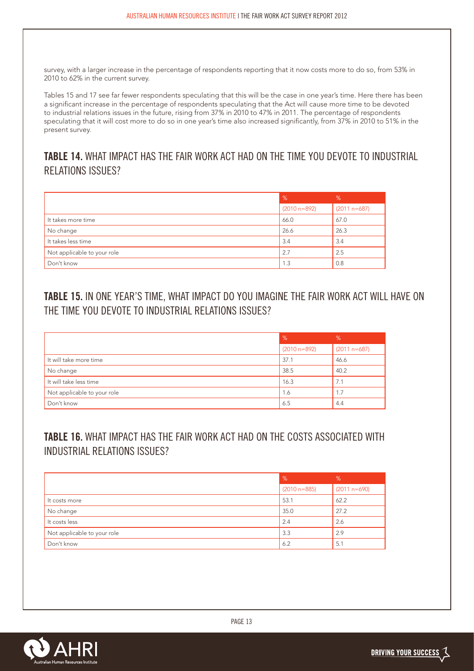survey, with a larger increase in the percentage of respondents reporting that it now costs more to do so, from 53% in 2010 to 62% in the current survey.

Tables 15 and 17 see far fewer respondents speculating that this will be the case in one year's time. Here there has been a significant increase in the percentage of respondents speculating that the Act will cause more time to be devoted to industrial relations issues in the future, rising from 37% in 2010 to 47% in 2011. The percentage of respondents speculating that it will cost more to do so in one year's time also increased significantly, from 37% in 2010 to 51% in the present survey.

## **TABLE 14.** WHAT IMPACT HAS THE FAIR WORK ACT HAD ON THE TIME YOU DEVOTE TO INDUSTRIAL RELATIONS ISSUES?

|                             | $\%$           | %              |
|-----------------------------|----------------|----------------|
|                             | $(2010 n=892)$ | $(2011 n=687)$ |
| It takes more time          | 66.0           | 67.0           |
| No change                   | 26.6           | 26.3           |
| It takes less time          | 3.4            | 3.4            |
| Not applicable to your role | 2.7            | 2.5            |
| Don't know                  | 1.3            | 0.8            |

## **TABLE 15.** IN ONE YEAR'S TIME, WHAT IMPACT DO YOU IMAGINE THE FAIR WORK ACT WILL HAVE ON THE TIME YOU DEVOTE TO INDUSTRIAL RELATIONS ISSUES?

|                             | $\%$             | %              |
|-----------------------------|------------------|----------------|
|                             | $(2010 n = 892)$ | $(2011 n=687)$ |
| It will take more time      | 37.1             | 46.6           |
| No change                   | 38.5             | 40.2           |
| It will take less time      | 16.3             | 7.1            |
| Not applicable to your role | 1.6              | 1.7            |
| Don't know                  | 6.5              | 4.4            |

## **TABLE 16.** WHAT IMPACT HAS THE FAIR WORK ACT HAD ON THE COSTS ASSOCIATED WITH INDUSTRIAL RELATIONS ISSUES?

|                             | %              | %              |
|-----------------------------|----------------|----------------|
|                             | $(2010 n=885)$ | $(2011 n=690)$ |
| It costs more               | 53.1           | 62.2           |
| No change                   | 35.0           | 27.2           |
| It costs less               | 2.4            | 2.6            |
| Not applicable to your role | 3.3            | 2.9            |
| Don't know                  | 6.2            | 5.1            |

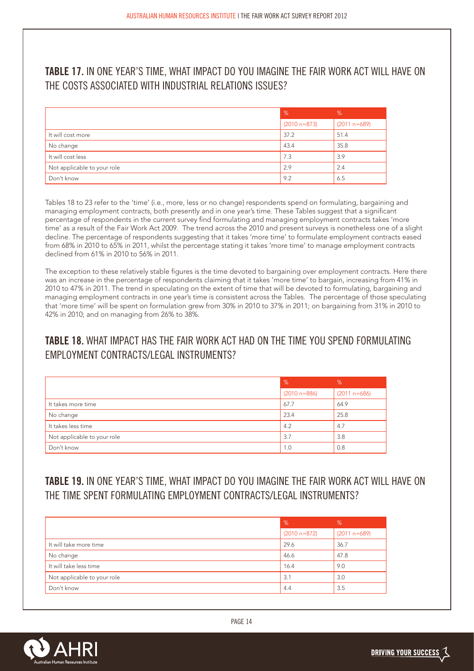## **TABLE 17.** IN ONE YEAR'S TIME, WHAT IMPACT DO YOU IMAGINE THE FAIR WORK ACT WILL HAVE ON THE COSTS ASSOCIATED WITH INDUSTRIAL RELATIONS ISSUES?

|                             | $\frac{9}{6}$  | %              |
|-----------------------------|----------------|----------------|
|                             | $(2010 n=873)$ | $(2011 n=689)$ |
| It will cost more           | 37.2           | 51.4           |
| No change                   | 43.4           | 35.8           |
| It will cost less           | 7.3            | 3.9            |
| Not applicable to your role | 2.9            | 2.4            |
| Don't know                  | 9.2            | 6.5            |

Tables 18 to 23 refer to the 'time' (i.e., more, less or no change) respondents spend on formulating, bargaining and managing employment contracts, both presently and in one year's time. These Tables suggest that a significant percentage of respondents in the current survey find formulating and managing employment contracts takes 'more time' as a result of the Fair Work Act 2009. The trend across the 2010 and present surveys is nonetheless one of a slight decline. The percentage of respondents suggesting that it takes 'more time' to formulate employment contracts eased from 68% in 2010 to 65% in 2011, whilst the percentage stating it takes 'more time' to manage employment contracts declined from 61% in 2010 to 56% in 2011.

The exception to these relatively stable figures is the time devoted to bargaining over employment contracts. Here there was an increase in the percentage of respondents claiming that it takes 'more time' to bargain, increasing from 41% in 2010 to 47% in 2011. The trend in speculating on the extent of time that will be devoted to formulating, bargaining and managing employment contracts in one year's time is consistent across the Tables. The percentage of those speculating that 'more time' will be spent on formulation grew from 30% in 2010 to 37% in 2011; on bargaining from 31% in 2010 to 42% in 2010; and on managing from 26% to 38%.

## **TABLE 18.** WHAT IMPACT HAS THE FAIR WORK ACT HAD ON THE TIME YOU SPEND FORMULATING **EMPLOYMENT CONTRACTS/LEGAL INSTRUMENTS?**

|                             | $\%$             | $\%$           |
|-----------------------------|------------------|----------------|
|                             | $(2010 n = 886)$ | $(2011 n=686)$ |
| It takes more time          | 67.7             | 64.9           |
| No change                   | 23.4             | 25.8           |
| It takes less time          | 4.2              | 4.7            |
| Not applicable to your role | 3.7              | 3.8            |
| Don't know                  | 1.0              | 0.8            |

**TABLE 19.** IN ONE YEAR'S TIME, WHAT IMPACT DO YOU IMAGINE THE FAIR WORK ACT WILL HAVE ON THE TIME SPENT FORMULATING EMPLOYMENT CONTRACTS/LEGAL INSTRUMENTS?

|                             | %              | %              |
|-----------------------------|----------------|----------------|
|                             | $(2010 n=872)$ | $(2011 n=689)$ |
| It will take more time      | 29.6           | 36.7           |
| No change                   | 46.6           | 47.8           |
| It will take less time      | 16.4           | 9.0            |
| Not applicable to your role | 3.1            | 3.0            |
| Don't know                  | 4.4            | 3.5            |

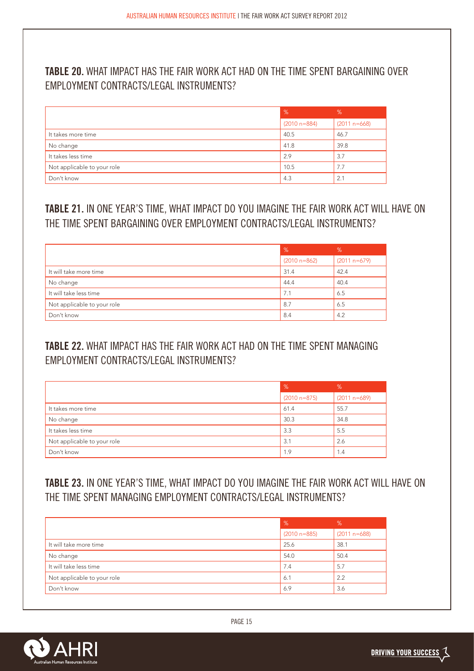## **TABLE 20.** WHAT IMPACT HAS THE FAIR WORK ACT HAD ON THE TIME SPENT BARGAINING OVER EMPLOYMENT CONTRACTS/LEGAL INSTRUMENTS?

|                             | $\%$             | %              |
|-----------------------------|------------------|----------------|
|                             | $(2010 n = 884)$ | $(2011 n=668)$ |
| It takes more time          | 40.5             | 46.7           |
| No change                   | 41.8             | 39.8           |
| It takes less time          | 2.9              | 3.7            |
| Not applicable to your role | 10.5             | 7.7            |
| Don't know                  | 4.3              | 2.1            |

## **TABLE 21.** IN ONE YEAR'S TIME, WHAT IMPACT DO YOU IMAGINE THE FAIR WORK ACT WILL HAVE ON THE TIME SPENT BARGAINING OVER EMPLOYMENT CONTRACTS/LEGAL INSTRUMENTS?

|                             | %              | %              |
|-----------------------------|----------------|----------------|
|                             | $(2010 n=862)$ | $(2011 n=679)$ |
| It will take more time      | 31.4           | 42.4           |
| No change                   | 44.4           | 40.4           |
| It will take less time      | 7.1            | 6.5            |
| Not applicable to your role | 8.7            | 6.5            |
| Don't know                  | 8.4            | 4.2            |

## **TABLE 22.** WHAT IMPACT HAS THE FAIR WORK ACT HAD ON THE TIME SPENT MANAGING EMPLOYMENT CONTRACTS/LEGAL INSTRUMENTS?

|                             | $\frac{9}{6}$  | %              |
|-----------------------------|----------------|----------------|
|                             | $(2010 n=875)$ | $(2011 n=689)$ |
| It takes more time          | 61.4           | 55.7           |
| No change                   | 30.3           | 34.8           |
| It takes less time          | 3.3            | 5.5            |
| Not applicable to your role | 3.1            | 2.6            |
| Don't know                  | 1.9            | 1.4            |

## **TABLE 23.** IN ONE YEAR'S TIME, WHAT IMPACT DO YOU IMAGINE THE FAIR WORK ACT WILL HAVE ON THE TIME SPENT MANAGING EMPLOYMENT CONTRACTS/LEGAL INSTRUMENTS?

|                             | %                | $\%$           |
|-----------------------------|------------------|----------------|
|                             | $(2010 n = 885)$ | $(2011 n=688)$ |
| It will take more time      | 25.6             | 38.1           |
| No change                   | 54.0             | 50.4           |
| It will take less time      | 7.4              | 5.7            |
| Not applicable to your role | 6.1              | 2.2            |
| Don't know                  | 6.9              | 3.6            |

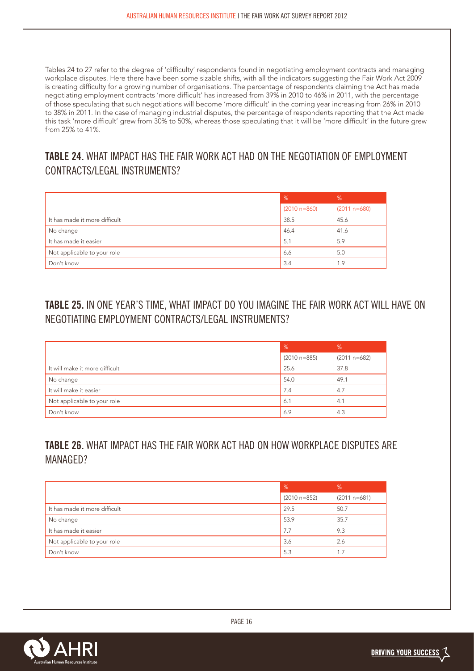Tables 24 to 27 refer to the degree of 'difficulty' respondents found in negotiating employment contracts and managing workplace disputes. Here there have been some sizable shifts, with all the indicators suggesting the Fair Work Act 2009 is creating difficulty for a growing number of organisations. The percentage of respondents claiming the Act has made negotiating employment contracts 'more difficult' has increased from 39% in 2010 to 46% in 2011, with the percentage of those speculating that such negotiations will become 'more difficult' in the coming year increasing from 26% in 2010 to 38% in 2011. In the case of managing industrial disputes, the percentage of respondents reporting that the Act made this task 'more difficult' grew from 30% to 50%, whereas those speculating that it will be 'more difficult' in the future grew from 25% to 41%.

# **TABLE 24.** WHAT IMPACT HAS THE FAIR WORK ACT HAD ON THE NEGOTIATION OF EMPLOYMENT CONTRACTS/LEGAL INSTRUMENTS?

|                               | %                | $\%$           |
|-------------------------------|------------------|----------------|
|                               | $(2010 n = 860)$ | $(2011 n=680)$ |
| It has made it more difficult | 38.5             | 45.6           |
| No change                     | 46.4             | 41.6           |
| It has made it easier         | 5.1              | 5.9            |
| Not applicable to your role   | 6.6              | 5.0            |
| Don't know                    | 3.4              | 1.9            |

## **TABLE 25.** IN ONE YEAR'S TIME, WHAT IMPACT DO YOU IMAGINE THE FAIR WORK ACT WILL HAVE ON NEGOTIATING EMPLOYMENT CONTRACTS/LEGAL INSTRUMENTS?

|                                | $\%$             | %              |
|--------------------------------|------------------|----------------|
|                                | $(2010 n = 885)$ | $(2011 n=682)$ |
| It will make it more difficult | 25.6             | 37.8           |
| No change                      | 54.0             | 49.1           |
| It will make it easier         | 7.4              | 4.7            |
| Not applicable to your role    | 6.1              | 4.1            |
| Don't know                     | 6.9              | 4.3            |

## **TABLE 26.** WHAT IMPACT HAS THE FAIR WORK ACT HAD ON HOW WORKPLACE DISPUTES ARE MANAGED?

|                               | $\frac{9}{6}$  | %              |
|-------------------------------|----------------|----------------|
|                               | $(2010 n=852)$ | $(2011 n=681)$ |
| It has made it more difficult | 29.5           | 50.7           |
| No change                     | 53.9           | 35.7           |
| It has made it easier         | 7.7            | 9.3            |
| Not applicable to your role   | 3.6            | 2.6            |
| Don't know                    | 5.3            | 1.7            |

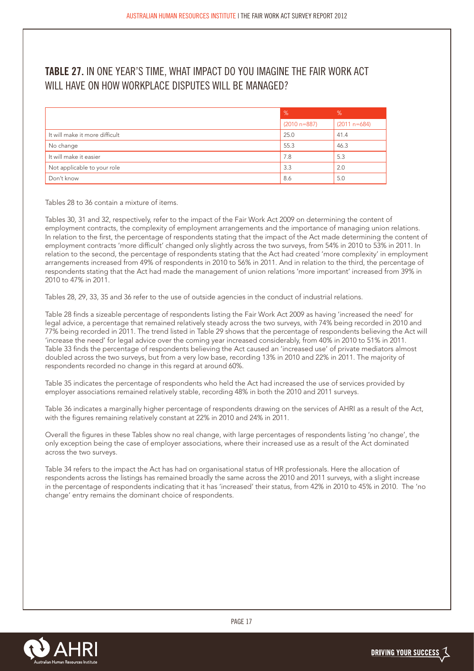## **TABLE 27.** IN ONE YEAR'S TIME, WHAT IMPACT DO YOU IMAGINE THE FAIR WORK ACT WILL HAVE ON HOW WORKPLACE DISPUTES WILL BE MANAGED?

|                                | %                | %              |
|--------------------------------|------------------|----------------|
|                                | $(2010 n = 887)$ | $(2011 n=684)$ |
| It will make it more difficult | 25.0             | 41.4           |
| No change                      | 55.3             | 46.3           |
| It will make it easier         | 7.8              | 5.3            |
| Not applicable to your role    | 3.3              | 2.0            |
| Don't know                     | 8.6              | 5.0            |

Tables 28 to 36 contain a mixture of items.

Tables 30, 31 and 32, respectively, refer to the impact of the Fair Work Act 2009 on determining the content of employment contracts, the complexity of employment arrangements and the importance of managing union relations. In relation to the first, the percentage of respondents stating that the impact of the Act made determining the content of employment contracts 'more difficult' changed only slightly across the two surveys, from 54% in 2010 to 53% in 2011. In relation to the second, the percentage of respondents stating that the Act had created 'more complexity' in employment arrangements increased from 49% of respondents in 2010 to 56% in 2011. And in relation to the third, the percentage of respondents stating that the Act had made the management of union relations 'more important' increased from 39% in 2010 to 47% in 2011.

Tables 28, 29, 33, 35 and 36 refer to the use of outside agencies in the conduct of industrial relations.

Table 28 finds a sizeable percentage of respondents listing the Fair Work Act 2009 as having 'increased the need' for legal advice, a percentage that remained relatively steady across the two surveys, with 74% being recorded in 2010 and 77% being recorded in 2011. The trend listed in Table 29 shows that the percentage of respondents believing the Act will 'increase the need' for legal advice over the coming year increased considerably, from 40% in 2010 to 51% in 2011. Table 33 finds the percentage of respondents believing the Act caused an 'increased use' of private mediators almost doubled across the two surveys, but from a very low base, recording 13% in 2010 and 22% in 2011. The majority of respondents recorded no change in this regard at around 60%.

Table 35 indicates the percentage of respondents who held the Act had increased the use of services provided by employer associations remained relatively stable, recording 48% in both the 2010 and 2011 surveys.

Table 36 indicates a marginally higher percentage of respondents drawing on the services of AHRI as a result of the Act, with the figures remaining relatively constant at 22% in 2010 and 24% in 2011.

Overall the figures in these Tables show no real change, with large percentages of respondents listing 'no change', the only exception being the case of employer associations, where their increased use as a result of the Act dominated across the two surveys.

Table 34 refers to the impact the Act has had on organisational status of HR professionals. Here the allocation of respondents across the listings has remained broadly the same across the 2010 and 2011 surveys, with a slight increase in the percentage of respondents indicating that it has 'increased' their status, from 42% in 2010 to 45% in 2010. The 'no change' entry remains the dominant choice of respondents.

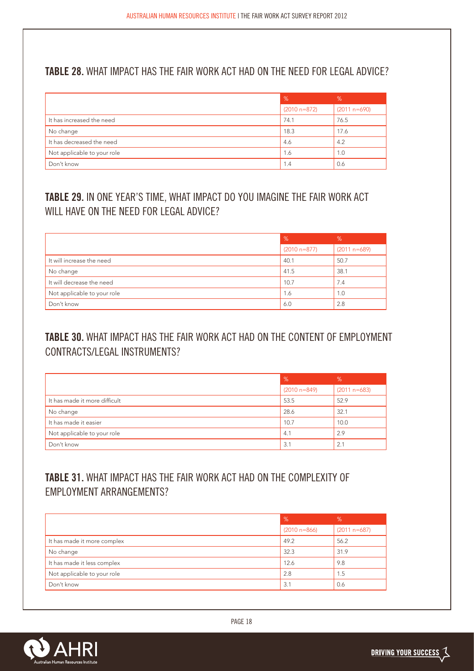## **TABLE 28.** WHAT IMPACT HAS THE FAIR WORK ACT HAD ON THE NEED FOR LEGAL ADVICE?

|                             | $\frac{9}{6}$  | %              |
|-----------------------------|----------------|----------------|
|                             | $(2010 n=872)$ | $(2011 n=690)$ |
| It has increased the need   | 74.1           | 76.5           |
| No change                   | 18.3           | 17.6           |
| It has decreased the need   | 4.6            | 4.2            |
| Not applicable to your role | 1.6            | 1.0            |
| Don't know                  | 1.4            | 0.6            |

# **TABLE 29.** IN ONE YEAR'S TIME, WHAT IMPACT DO YOU IMAGINE THE FAIR WORK ACT WILL HAVE ON THE NEED FOR LEGAL ADVICE?

|                             | $\%$           | %              |
|-----------------------------|----------------|----------------|
|                             | $(2010 n=877)$ | $(2011 n=689)$ |
| It will increase the need   | 40.1           | 50.7           |
| No change                   | 41.5           | 38.1           |
| It will decrease the need   | 10.7           | 7.4            |
| Not applicable to your role | 1.6            | 1.0            |
| Don't know                  | 6.0            | 2.8            |

# **TABLE 30.** WHAT IMPACT HAS THE FAIR WORK ACT HAD ON THE CONTENT OF EMPLOYMENT CONTRACTS/LEGAL INSTRUMENTS?

|                               | $\%$             | %              |
|-------------------------------|------------------|----------------|
|                               | $(2010 n = 849)$ | $(2011 n=683)$ |
| It has made it more difficult | 53.5             | 52.9           |
| No change                     | 28.6             | 32.1           |
| It has made it easier         | 10.7             | 10.0           |
| Not applicable to your role   | 4.1              | 2.9            |
| Don't know                    | 3.1              | 2.1            |

# **TABLE 31.** WHAT IMPACT HAS THE FAIR WORK ACT HAD ON THE COMPLEXITY OF EMPLOYMENT ARRANGEMENTS?

|                             | $\%$           | %              |
|-----------------------------|----------------|----------------|
|                             | $(2010 n=866)$ | $(2011 n=687)$ |
| It has made it more complex | 49.2           | 56.2           |
| No change                   | 32.3           | 31.9           |
| It has made it less complex | 12.6           | 9.8            |
| Not applicable to your role | 2.8            | 1.5            |
| Don't know                  | 3.1            | 0.6            |

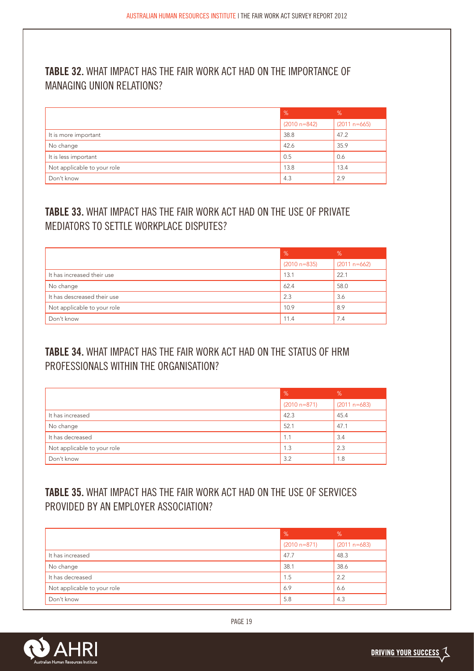## **TABLE 32.** WHAT IMPACT HAS THE FAIR WORK ACT HAD ON THE IMPORTANCE OF MANAGING UNION RELATIONS?

|                             | $\%$             | %              |
|-----------------------------|------------------|----------------|
|                             | $(2010 n = 842)$ | $(2011 n=665)$ |
| It is more important        | 38.8             | 47.2           |
| No change                   | 42.6             | 35.9           |
| It is less important        | 0.5              | 0.6            |
| Not applicable to your role | 13.8             | 13.4           |
| Don't know                  | 4.3              | 2.9            |

# **TABLE 33.** WHAT IMPACT HAS THE FAIR WORK ACT HAD ON THE USE OF PRIVATE MEDIATORS TO SETTLE WORKPLACE DISPUTES?

|                             | $\%$             | %              |
|-----------------------------|------------------|----------------|
|                             | $(2010 n = 835)$ | $(2011 n=662)$ |
| It has increased their use  | 13.1             | 22.1           |
| No change                   | 62.4             | 58.0           |
| It has descreased their use | 2.3              | 3.6            |
| Not applicable to your role | 10.9             | 8.9            |
| Don't know                  | 11.4             | 7.4            |

## **TABLE 34.** WHAT IMPACT HAS THE FAIR WORK ACT HAD ON THE STATUS OF HRM PROFESSIONALS WITHIN THE ORGANISATION?

|                             | $\%$           | %              |
|-----------------------------|----------------|----------------|
|                             | $(2010 n=871)$ | $(2011 n=683)$ |
| It has increased            | 42.3           | 45.4           |
| No change                   | 52.1           | 47.1           |
| It has decreased            | 1.1            | 3.4            |
| Not applicable to your role | 1.3            | 2.3            |
| Don't know                  | 3.2            | 1.8            |

# **TABLE 35.** WHAT IMPACT HAS THE FAIR WORK ACT HAD ON THE USE OF SERVICES PROVIDED BY AN EMPLOYER ASSOCIATION?

|                             | $\%$           | %              |
|-----------------------------|----------------|----------------|
|                             | $(2010 n=871)$ | $(2011 n=683)$ |
| It has increased            | 47.7           | 48.3           |
| No change                   | 38.1           | 38.6           |
| It has decreased            | 1.5            | 2.2            |
| Not applicable to your role | 6.9            | 6.6            |
| Don't know                  | 5.8            | 4.3            |

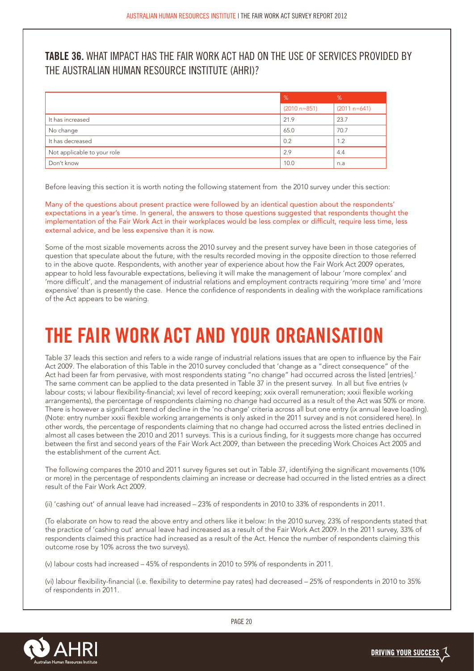## **TABLE 36.** WHAT IMPACT HAS THE FAIR WORK ACT HAD ON THE USE OF SERVICES PROVIDED BY THE AUSTRALIAN HUMAN RESOURCE INSTITUTE (AHRI)?

|                             | $\frac{9}{6}$  | %              |
|-----------------------------|----------------|----------------|
|                             | $(2010 n=851)$ | $(2011 n=641)$ |
| It has increased            | 21.9           | 23.7           |
| No change                   | 65.0           | 70.7           |
| It has decreased            | 0.2            | 1.2            |
| Not applicable to your role | 2.9            | 4.4            |
| Don't know                  | 10.0           | n.a            |

Before leaving this section it is worth noting the following statement from the 2010 survey under this section:

Many of the questions about present practice were followed by an identical question about the respondents' expectations in a year's time. In general, the answers to those questions suggested that respondents thought the implementation of the Fair Work Act in their workplaces would be less complex or difficult, require less time, less external advice, and be less expensive than it is now.

Some of the most sizable movements across the 2010 survey and the present survey have been in those categories of question that speculate about the future, with the results recorded moving in the opposite direction to those referred to in the above quote. Respondents, with another year of experience about how the Fair Work Act 2009 operates, appear to hold less favourable expectations, believing it will make the management of labour 'more complex' and 'more difficult', and the management of industrial relations and employment contracts requiring 'more time' and 'more expensive' than is presently the case. Hence the confidence of respondents in dealing with the workplace ramifications of the Act appears to be waning.

# **THE FAIR WORK ACT AND YOUR ORGANISATION**

Table 37 leads this section and refers to a wide range of industrial relations issues that are open to influence by the Fair Act 2009. The elaboration of this Table in the 2010 survey concluded that 'change as a "direct consequence" of the Act had been far from pervasive, with most respondents stating "no change" had occurred across the listed [entries].' The same comment can be applied to the data presented in Table 37 in the present survey. In all but five entries (v labour costs; vi labour flexibility-financial; xvi level of record keeping; xxix overall remuneration; xxxii flexible working arrangements), the percentage of respondents claiming no change had occurred as a result of the Act was 50% or more. There is however a significant trend of decline in the 'no change' criteria across all but one entry (ix annual leave loading). (Note: entry number xxxii flexible working arrangements is only asked in the 2011 survey and is not considered here). In other words, the percentage of respondents claiming that no change had occurred across the listed entries declined in almost all cases between the 2010 and 2011 surveys. This is a curious finding, for it suggests more change has occurred between the first and second years of the Fair Work Act 2009, than between the preceding Work Choices Act 2005 and the establishment of the current Act.

The following compares the 2010 and 2011 survey figures set out in Table 37, identifying the significant movements (10% or more) in the percentage of respondents claiming an increase or decrease had occurred in the listed entries as a direct result of the Fair Work Act 2009.

(ii) 'cashing out' of annual leave had increased – 23% of respondents in 2010 to 33% of respondents in 2011.

(To elaborate on how to read the above entry and others like it below: In the 2010 survey, 23% of respondents stated that the practice of 'cashing out' annual leave had increased as a result of the Fair Work Act 2009. In the 2011 survey, 33% of respondents claimed this practice had increased as a result of the Act. Hence the number of respondents claiming this outcome rose by 10% across the two surveys).

(v) labour costs had increased – 45% of respondents in 2010 to 59% of respondents in 2011.

(vi) labour flexibility-financial (i.e. flexibility to determine pay rates) had decreased – 25% of respondents in 2010 to 35% of respondents in 2011.

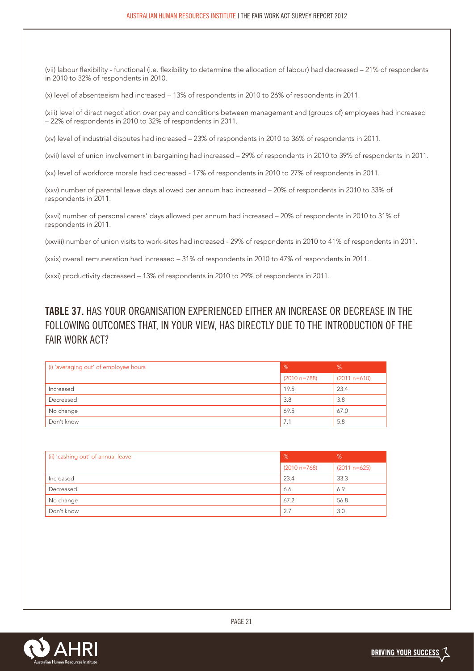(vii) labour flexibility - functional (i.e. flexibility to determine the allocation of labour) had decreased – 21% of respondents in 2010 to 32% of respondents in 2010.

(x) level of absenteeism had increased – 13% of respondents in 2010 to 26% of respondents in 2011.

(xiii) level of direct negotiation over pay and conditions between management and (groups of) employees had increased – 22% of respondents in 2010 to 32% of respondents in 2011.

(xv) level of industrial disputes had increased – 23% of respondents in 2010 to 36% of respondents in 2011.

(xvii) level of union involvement in bargaining had increased – 29% of respondents in 2010 to 39% of respondents in 2011.

(xx) level of workforce morale had decreased - 17% of respondents in 2010 to 27% of respondents in 2011.

(xxv) number of parental leave days allowed per annum had increased – 20% of respondents in 2010 to 33% of respondents in 2011.

(xxvi) number of personal carers' days allowed per annum had increased – 20% of respondents in 2010 to 31% of respondents in 2011.

(xxviii) number of union visits to work-sites had increased - 29% of respondents in 2010 to 41% of respondents in 2011.

(xxix) overall remuneration had increased – 31% of respondents in 2010 to 47% of respondents in 2011.

(xxxi) productivity decreased – 13% of respondents in 2010 to 29% of respondents in 2011.

## **TABLE 37.** HAS YOUR ORGANISATION EXPERIENCED EITHER AN INCREASE OR DECREASE IN THE FOLLOWING OUTCOMES THAT, IN YOUR VIEW, HAS DIRECTLY DUE TO THE INTRODUCTION OF THE FAIR WORK ACT?

| (i) 'averaging out' of employee hours | $\%$           | %              |
|---------------------------------------|----------------|----------------|
|                                       | $(2010 n=788)$ | $(2011 n=610)$ |
| Increased                             | 19.5           | 23.4           |
| Decreased                             | 3.8            | 3.8            |
| No change                             | 69.5           | 67.0           |
| Don't know                            | 7.1            | 5.8            |

| (ii) 'cashing out' of annual leave | $\sqrt{2}$     | %              |
|------------------------------------|----------------|----------------|
|                                    | $(2010 n=768)$ | $(2011 n=625)$ |
| Increased                          | 23.4           | 33.3           |
| Decreased                          | 6.6            | 6.9            |
| No change                          | 67.2           | 56.8           |
| Don't know                         | 2.7            | 3.0            |

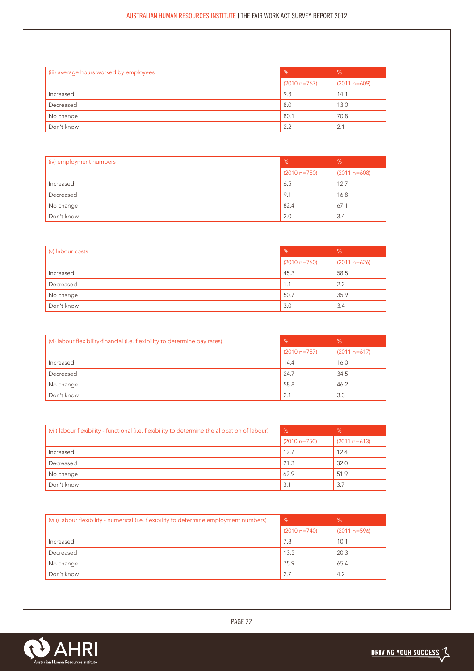| (iii) average hours worked by employees | $\frac{9}{6}$  | %              |
|-----------------------------------------|----------------|----------------|
|                                         | $(2010 n=767)$ | $(2011 n=609)$ |
| Increased                               | 9.8            | 14.1           |
| Decreased                               | 8.0            | 13.0           |
| No change                               | 80.1           | 70.8           |
| Don't know                              | 2.2            | 2.1            |

| (iv) employment numbers | %              | %              |
|-------------------------|----------------|----------------|
|                         | $(2010 n=750)$ | $(2011 n=608)$ |
| Increased               | 6.5            | 12.7           |
| Decreased               | 9.1            | 16.8           |
| No change               | 82.4           | 67.1           |
| Don't know              | 2.0            | 3.4            |

| (v) labour costs | %              | %              |
|------------------|----------------|----------------|
|                  | $(2010 n=760)$ | $(2011 n=626)$ |
| Increased        | 45.3           | 58.5           |
| Decreased        | 1.1            | 2.2            |
| No change        | 50.7           | 35.9           |
| Don't know       | 3.0            | 3.4            |

| (vi) labour flexibility-financial (i.e. flexibility to determine pay rates) | %              | %              |
|-----------------------------------------------------------------------------|----------------|----------------|
|                                                                             | $(2010 n=757)$ | $(2011 n=617)$ |
| Increased                                                                   | 14.4           | 16.0           |
| Decreased                                                                   | 24.7           | 34.5           |
| No change                                                                   | 58.8           | 46.2           |
| Don't know                                                                  | 2.1            | 3.3            |

| (vii) labour flexibility - functional (i.e. flexibility to determine the allocation of labour) | %              | $\%$           |
|------------------------------------------------------------------------------------------------|----------------|----------------|
|                                                                                                | $(2010 n=750)$ | $(2011 n=613)$ |
| Increased                                                                                      | 12.7           | 12.4           |
| Decreased                                                                                      | 21.3           | 32.0           |
| No change                                                                                      | 62.9           | 51.9           |
| Don't know                                                                                     | 3.1            | 3.7            |

| (viii) labour flexibility - numerical (i.e. flexibility to determine employment numbers) | %              | %              |
|------------------------------------------------------------------------------------------|----------------|----------------|
|                                                                                          | $(2010 n=740)$ | $(2011 n=596)$ |
| Increased                                                                                | 7.8            | 10.1           |
| Decreased                                                                                | 13.5           | 20.3           |
| No change                                                                                | 75.9           | 65.4           |
| Don't know                                                                               | 2.7            | 4.2            |

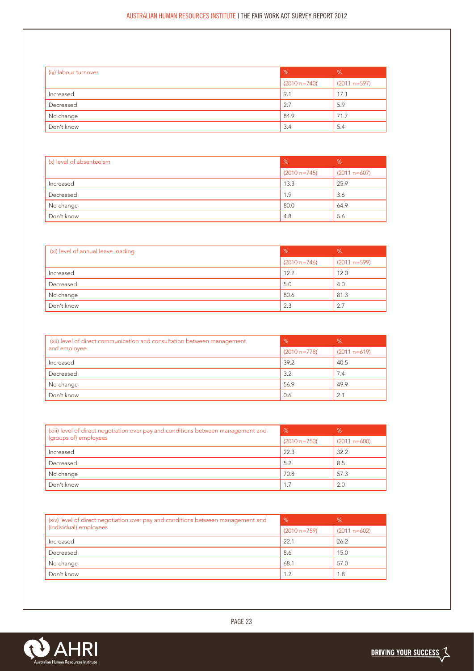| (ix) labour turnover | $\frac{9}{6}$  | %              |
|----------------------|----------------|----------------|
|                      | $(2010 n=740)$ | $(2011 n=597)$ |
| Increased            | 9.1            | 17.1           |
| Decreased            | 2.7            | 5.9            |
| No change            | 84.9           | 71.7           |
| Don't know           | 3.4            | 5.4            |

| (x) level of absenteeism | %              | %              |
|--------------------------|----------------|----------------|
|                          | $(2010 n=745)$ | $(2011 n=607)$ |
| Increased                | 13.3           | 25.9           |
| Decreased                | 1.9            | 3.6            |
| No change                | 80.0           | 64.9           |
| Don't know               | 4.8            | 5.6            |

| (xi) level of annual leave loading | $\%$           | %              |
|------------------------------------|----------------|----------------|
|                                    | $(2010 n=746)$ | $(2011 n=599)$ |
| Increased                          | 12.2           | 12.0           |
| Decreased                          | 5.0            | 4.0            |
| No change                          | 80.6           | 81.3           |
| Don't know                         | 2.3            | 2.7            |

| (xii) level of direct communication and consultation between management | $\frac{9}{6}$  | %              |
|-------------------------------------------------------------------------|----------------|----------------|
| and employee                                                            | $(2010 n=778)$ | $(2011 n=619)$ |
| Increased                                                               | 39.2           | 40.5           |
| Decreased                                                               | 3.2            | 7.4            |
| No change                                                               | 56.9           | 49.9           |
| Don't know                                                              | 0.6            | 2.1            |

| (xiii) level of direct negotiation over pay and conditions between management and | %              | %              |
|-----------------------------------------------------------------------------------|----------------|----------------|
| (groups of) employees                                                             | $(2010 n=750)$ | $(2011 n=600)$ |
| Increased                                                                         | 22.3           | 32.2           |
| Decreased                                                                         | 5.2            | 8.5            |
| No change                                                                         | 70.8           | 57.3           |
| Don't know                                                                        | 1.7            | 2.0            |

| (xiv) level of direct negotiation over pay and conditions between management and | %              | %              |
|----------------------------------------------------------------------------------|----------------|----------------|
| (individual) employees                                                           | $(2010 n=759)$ | $(2011 n=602)$ |
| Increased                                                                        | 22.1           | 26.2           |
| Decreased                                                                        | 8.6            | 15.0           |
| No change                                                                        | 68.1           | 57.0           |
| Don't know                                                                       | 1.2            | 1.8            |

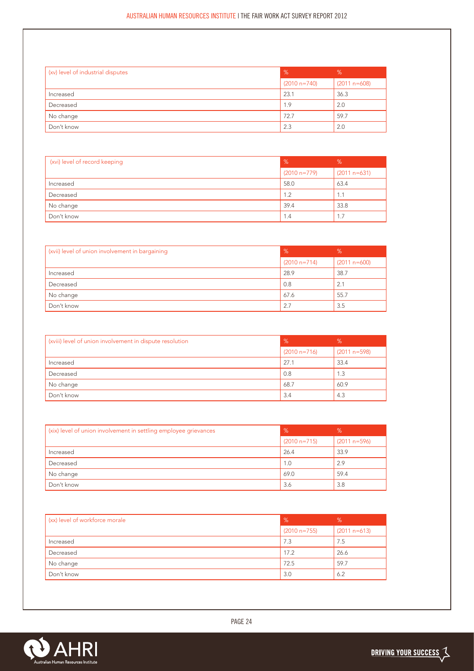| (xv) level of industrial disputes | $\frac{9}{6}$  | %              |
|-----------------------------------|----------------|----------------|
|                                   | $(2010 n=740)$ | $(2011 n=608)$ |
| Increased                         | 23.1           | 36.3           |
| Decreased                         | 1.9            | 2.0            |
| No change                         | 72.7           | 59.7           |
| Don't know                        | 2.3            | 2.0            |

| (xvi) level of record keeping | %              | %              |
|-------------------------------|----------------|----------------|
|                               | $(2010 n=779)$ | $(2011 n=631)$ |
| Increased                     | 58.0           | 63.4           |
| Decreased                     | 1.2            | 1.1            |
| No change                     | 39.4           | 33.8           |
| Don't know                    | 1.4            | 1.7            |

| (xvii) level of union involvement in bargaining | $\%$           | %              |
|-------------------------------------------------|----------------|----------------|
|                                                 | $(2010 n=714)$ | $(2011 n=600)$ |
| Increased                                       | 28.9           | 38.7           |
| Decreased                                       | 0.8            | 2.1            |
| No change                                       | 67.6           | 55.7           |
| Don't know                                      | 2.7            | 3.5            |

| (xviii) level of union involvement in dispute resolution | $\frac{9}{6}$  | %              |
|----------------------------------------------------------|----------------|----------------|
|                                                          | $(2010 n=716)$ | $(2011 n=598)$ |
| Increased                                                | 27.1           | 33.4           |
| Decreased                                                | 0.8            | 1.3            |
| No change                                                | 68.7           | 60.9           |
| Don't know                                               | 3.4            | 4.3            |

| (xix) level of union involvement in settling employee grievances | $\frac{9}{6}$  | %              |
|------------------------------------------------------------------|----------------|----------------|
|                                                                  | $(2010 n=715)$ | $(2011 n=596)$ |
| Increased                                                        | 26.4           | 33.9           |
| Decreased                                                        | 1.0            | 2.9            |
| No change                                                        | 69.0           | 59.4           |
| Don't know                                                       | 3.6            | 3.8            |

| (xx) level of workforce morale | $\%$           | %              |
|--------------------------------|----------------|----------------|
|                                | $(2010 n=755)$ | $(2011 n=613)$ |
| Increased                      | 7.3            | 7.5            |
| Decreased                      | 17.2           | 26.6           |
| No change                      | 72.5           | 59.7           |
| Don't know                     | 3.0            | 6.2            |

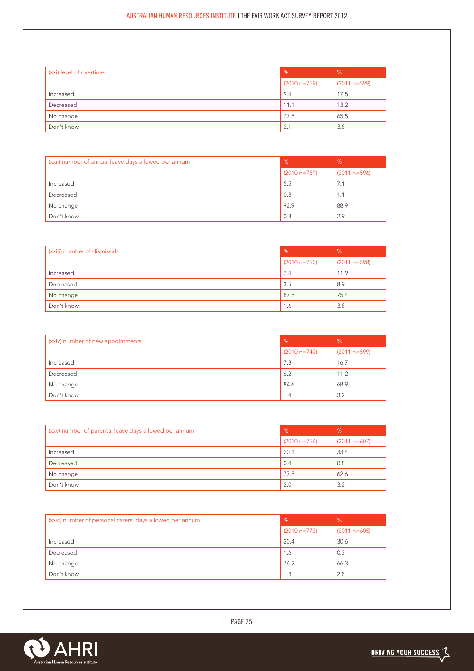| (xxi) level of overtime | $\frac{9}{6}$  | %              |
|-------------------------|----------------|----------------|
|                         | $(2010 n=759)$ | $(2011 n=599)$ |
| Increased               | 9.4            | 17.5           |
| Decreased               | 11.1           | 13.2           |
| No change               | 77.5           | 65.5           |
| Don't know              | 2.1            | 3.8            |

| (xxii) number of annual leave days allowed per annum | %              | %              |
|------------------------------------------------------|----------------|----------------|
|                                                      | $(2010 n=759)$ | $(2011 n=596)$ |
| Increased                                            | 5.5            | 7.1            |
| Decreased                                            | 0.8            | 1.1            |
| No change                                            | 92.9           | 88.9           |
| Don't know                                           | 0.8            | 2.9            |

| (xxiii) number of dismissals | %              | %              |
|------------------------------|----------------|----------------|
|                              | $(2010 n=752)$ | $(2011 n=598)$ |
| Increased                    | 7.4            | 11.9           |
| Decreased                    | 3.5            | 8.9            |
| No change                    | 87.5           | 75.4           |
| Don't know                   | 1.6            | 3.8            |

| (xxiv) number of new appointments | %              | %              |
|-----------------------------------|----------------|----------------|
|                                   | $(2010 n=740)$ | $(2011 n=599)$ |
| Increased                         | 7.8            | 16.7           |
| Decreased                         | 6.2            | 11.2           |
| No change                         | 84.6           | 68.9           |
| Don't know                        | 1.4            | 3.2            |

| (xxv) number of parental leave days allowed per annum | %              | %              |
|-------------------------------------------------------|----------------|----------------|
|                                                       | $(2010 n=756)$ | $(2011 n=607)$ |
| Increased                                             | 20.1           | 33.4           |
| Decreased                                             | 0.4            | 0.8            |
| No change                                             | 77.5           | 62.6           |
| Don't know                                            | 2.0            | 3.2            |

| (xxvi) number of personal carers' days allowed per annum | $\frac{9}{6}$  | $\%$           |
|----------------------------------------------------------|----------------|----------------|
|                                                          | $(2010 n=773)$ | $(2011 n=605)$ |
| Increased                                                | 20.4           | 30.6           |
| Decreased                                                | 1.6            | 0.3            |
| No change                                                | 76.2           | 66.3           |
| Don't know                                               | 1.8            | 2.8            |

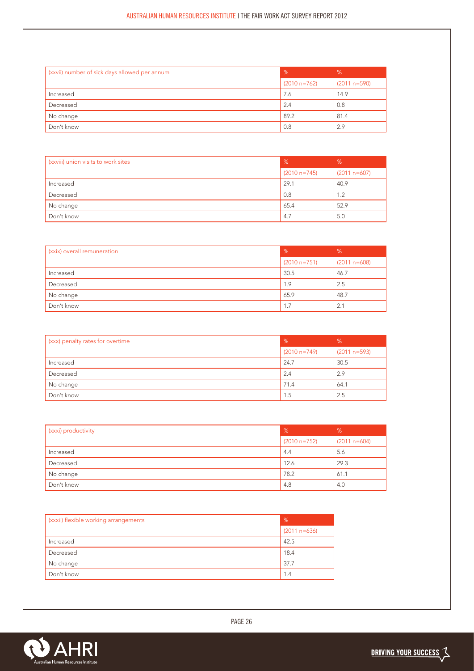| (xxvii) number of sick days allowed per annum | $\%$           | %              |
|-----------------------------------------------|----------------|----------------|
|                                               | $(2010 n=762)$ | $(2011 n=590)$ |
| Increased                                     | 7.6            | 14.9           |
| Decreased                                     | 2.4            | 0.8            |
| No change                                     | 89.2           | 81.4           |
| Don't know                                    | 0.8            | 2.9            |

| (xxviii) union visits to work sites | %              | %              |
|-------------------------------------|----------------|----------------|
|                                     | $(2010 n=745)$ | $(2011 n=607)$ |
| Increased                           | 29.1           | 40.9           |
| Decreased                           | 0.8            | 1.2            |
| No change                           | 65.4           | 52.9           |
| Don't know                          | 4.7            | 5.0            |

| (xxix) overall remuneration | %              | %              |
|-----------------------------|----------------|----------------|
|                             | $(2010 n=751)$ | $(2011 n=608)$ |
| Increased                   | 30.5           | 46.7           |
| Decreased                   | 1.9            | 2.5            |
| No change                   | 65.9           | 48.7           |
| Don't know                  | 1.7            | 2.1            |

| (xxx) penalty rates for overtime | $\frac{9}{6}$  | %              |
|----------------------------------|----------------|----------------|
|                                  | $(2010 n=749)$ | $(2011 n=593)$ |
| Increased                        | 24.7           | 30.5           |
| Decreased                        | 2.4            | 2.9            |
| No change                        | 71.4           | 64.1           |
| Don't know                       | 1.5            | 2.5            |

| (xxxi) productivity | $\%$           | %              |
|---------------------|----------------|----------------|
|                     | $(2010 n=752)$ | $(2011 n=604)$ |
| Increased           | 4.4            | 5.6            |
| Decreased           | 12.6           | 29.3           |
| No change           | 78.2           | 61.1           |
| Don't know          | 4.8            | 4.0            |

| (xxxii) flexible working arrangements | %              |
|---------------------------------------|----------------|
|                                       | $(2011 n=636)$ |
| Increased                             | 42.5           |
| Decreased                             | 18.4           |
| No change                             | 37.7           |
| Don't know                            | 1.4            |

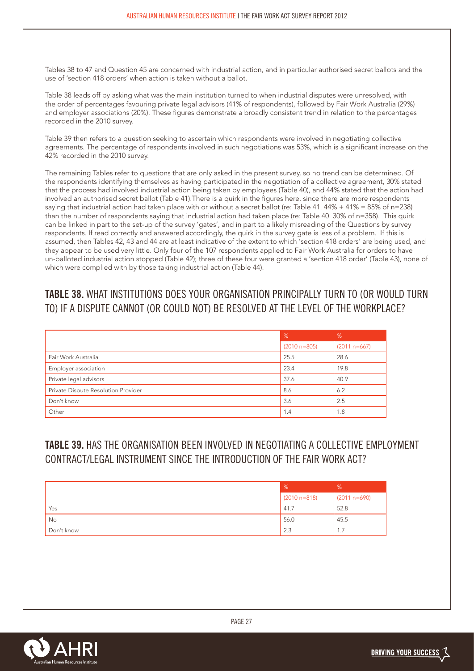Tables 38 to 47 and Question 45 are concerned with industrial action, and in particular authorised secret ballots and the use of 'section 418 orders' when action is taken without a ballot.

Table 38 leads off by asking what was the main institution turned to when industrial disputes were unresolved, with the order of percentages favouring private legal advisors (41% of respondents), followed by Fair Work Australia (29%) and employer associations (20%). These figures demonstrate a broadly consistent trend in relation to the percentages recorded in the 2010 survey.

Table 39 then refers to a question seeking to ascertain which respondents were involved in negotiating collective agreements. The percentage of respondents involved in such negotiations was 53%, which is a significant increase on the 42% recorded in the 2010 survey.

The remaining Tables refer to questions that are only asked in the present survey, so no trend can be determined. Of the respondents identifying themselves as having participated in the negotiation of a collective agreement, 30% stated that the process had involved industrial action being taken by employees (Table 40), and 44% stated that the action had involved an authorised secret ballot (Table 41).There is a quirk in the figures here, since there are more respondents saying that industrial action had taken place with or without a secret ballot (re: Table 41. 44% + 41% = 85% of n=238) than the number of respondents saying that industrial action had taken place (re: Table 40. 30% of n=358). This quirk can be linked in part to the set-up of the survey 'gates', and in part to a likely misreading of the Questions by survey respondents. If read correctly and answered accordingly, the quirk in the survey gate is less of a problem. If this is assumed, then Tables 42, 43 and 44 are at least indicative of the extent to which 'section 418 orders' are being used, and they appear to be used very little. Only four of the 107 respondents applied to Fair Work Australia for orders to have un-balloted industrial action stopped (Table 42); three of these four were granted a 'section 418 order' (Table 43), none of which were complied with by those taking industrial action (Table 44).

# **TABLE 38.** WHAT INSTITUTIONS DOES YOUR ORGANISATION PRINCIPALLY TURN TO (OR WOULD TURN TO) IF A DISPUTE CANNOT (OR COULD NOT) BE RESOLVED AT THE LEVEL OF THE WORKPLACE?

|                                     | %              | %              |
|-------------------------------------|----------------|----------------|
|                                     | $(2010 n=805)$ | $(2011 n=667)$ |
| Fair Work Australia                 | 25.5           | 28.6           |
| Employer association                | 23.4           | 19.8           |
| Private legal advisors              | 37.6           | 40.9           |
| Private Dispute Resolution Provider | 8.6            | 6.2            |
| Don't know                          | 3.6            | 2.5            |
| Other                               | 1.4            | 1.8            |

## **TABLE 39.** HAS THE ORGANISATION BEEN INVOLVED IN NEGOTIATING A COLLECTIVE EMPLOYMENT CONTRACT/LEGAL INSTRUMENT SINCE THE INTRODUCTION OF THE FAIR WORK ACT?

|            | $\frac{9}{6}$    | %              |
|------------|------------------|----------------|
|            | $(2010 n = 818)$ | $(2011 n=690)$ |
| Yes        | 41.7             | 52.8           |
| No         | 56.0             | 45.5           |
| Don't know | 2.3              | 1.7            |

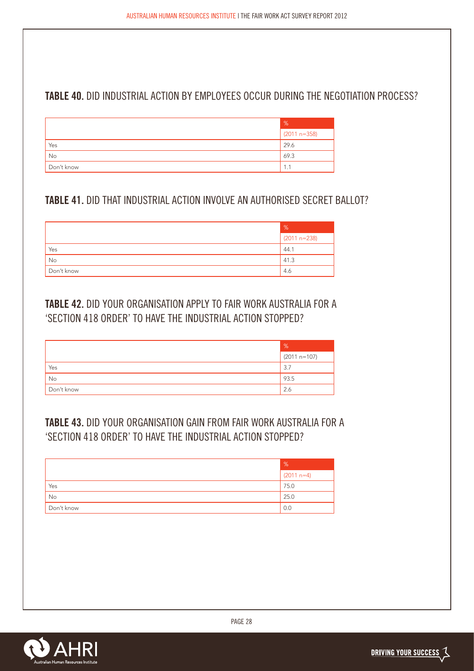## **TABLE 40.** DID INDUSTRIAL ACTION BY EMPLOYEES OCCUR DURING THE NEGOTIATION PROCESS?

|            | %              |
|------------|----------------|
|            | $(2011 n=358)$ |
| Yes        | 29.6           |
| No         | 69.3           |
| Don't know | 1.1            |

## **TABLE 41.** DID THAT INDUSTRIAL ACTION INVOLVE AN AUTHORISED SECRET BALLOT?

|            | $\%$           |
|------------|----------------|
|            | $(2011 n=238)$ |
| Yes        | 44.1           |
| No         | 41.3           |
| Don't know | 4.6            |

## **TABLE 42.** DID YOUR ORGANISATION APPLY TO FAIR WORK AUSTRALIA FOR A 'SECTION 418 ORDER' TO HAVE THE INDUSTRIAL ACTION STOPPED?

|            | %              |
|------------|----------------|
|            | $(2011 n=107)$ |
| Yes        | 3.7            |
| No         | 93.5           |
| Don't know | 2.6            |

# **TABLE 43.** DID YOUR ORGANISATION GAIN FROM FAIR WORK AUSTRALIA FOR A 'SECTION 418 ORDER' TO HAVE THE INDUSTRIAL ACTION STOPPED?

|            | %            |
|------------|--------------|
|            | $(2011 n=4)$ |
| Yes        | 75.0         |
| No         | 25.0         |
| Don't know | 0.0          |



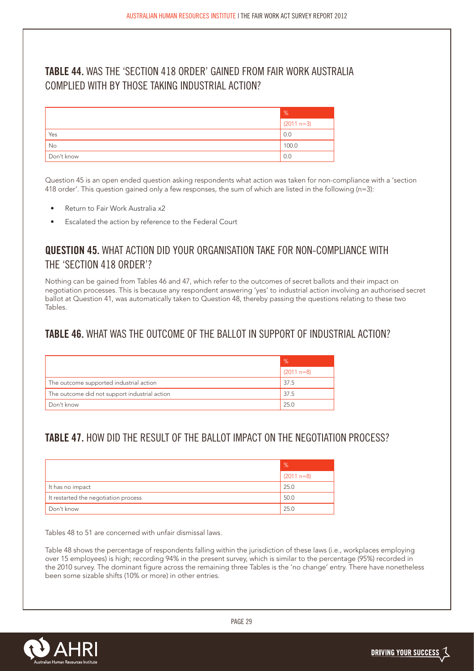## **TABLE 44.** WAS THE 'SECTION 418 ORDER' GAINED FROM FAIR WORK AUSTRALIA COMPLIED WITH BY THOSE TAKING INDUSTRIAL ACTION?

|            | %            |
|------------|--------------|
|            | $(2011 n=3)$ |
| Yes        | 0.0          |
| No         | 100.0        |
| Don't know | 0.0          |

Question 45 is an open ended question asking respondents what action was taken for non-compliance with a 'section 418 order'. This question gained only a few responses, the sum of which are listed in the following (n=3):

- Return to Fair Work Australia x2
- Escalated the action by reference to the Federal Court

### **QUESTION 45.** WHAT ACTION DID YOUR ORGANISATION TAKE FOR NON-COMPLIANCE WITH THE 'SECTION 418 ORDER'?

Nothing can be gained from Tables 46 and 47, which refer to the outcomes of secret ballots and their impact on negotiation processes. This is because any respondent answering 'yes' to industrial action involving an authorised secret ballot at Question 41, was automatically taken to Question 48, thereby passing the questions relating to these two Tables.

#### **TABLE 46.** WHAT WAS THE OUTCOME OF THE BALLOT IN SUPPORT OF INDUSTRIAL ACTION?

|                                               | %            |
|-----------------------------------------------|--------------|
|                                               | $(2011 n=8)$ |
| The outcome supported industrial action       | 37.5         |
| The outcome did not support industrial action | 37.5         |
| Don't know                                    | 25.0         |

### **TABLE 47.** HOW DID THE RESULT OF THE BALLOT IMPACT ON THE NEGOTIATION PROCESS?

|                                      | $\%$         |
|--------------------------------------|--------------|
|                                      | $(2011 n=8)$ |
| It has no impact                     | 25.0         |
| It restarted the negotiation process | 50.0         |
| Don't know                           | 25.0         |

Tables 48 to 51 are concerned with unfair dismissal laws.

Table 48 shows the percentage of respondents falling within the jurisdiction of these laws (i.e., workplaces employing over 15 employees) is high; recording 94% in the present survey, which is similar to the percentage (95%) recorded in the 2010 survey. The dominant figure across the remaining three Tables is the 'no change' entry. There have nonetheless been some sizable shifts (10% or more) in other entries.

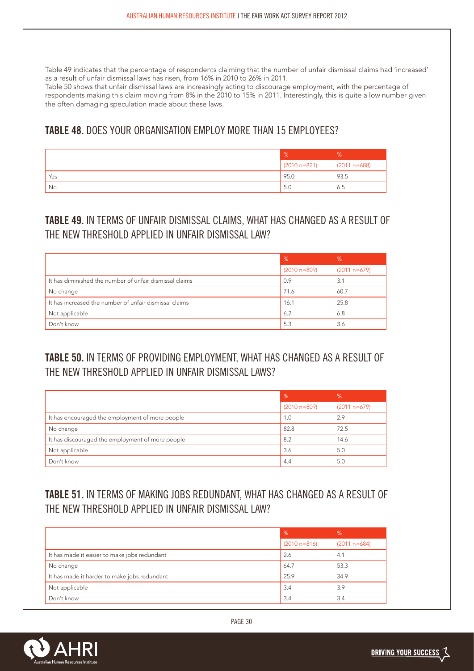Table 49 indicates that the percentage of respondents claiming that the number of unfair dismissal claims had 'increased' as a result of unfair dismissal laws has risen, from 16% in 2010 to 26% in 2011.

Table 50 shows that unfair dismissal laws are increasingly acting to discourage employment, with the percentage of respondents making this claim moving from 8% in the 2010 to 15% in 2011. Interestingly, this is quite a low number given the often damaging speculation made about these laws.

### **TABLE 48.** DOES YOUR ORGANISATION EMPLOY MORE THAN 15 EMPLOYEES?

|     | $\frac{9}{6}$  | 70             |
|-----|----------------|----------------|
|     | $(2010 n=821)$ | $(2011 n=688)$ |
| Yes | 95.0           | 93.5           |
| No  | 5.0            | 6.5            |

## **TABLE 49.** IN TERMS OF UNFAIR DISMISSAL CLAIMS, WHAT HAS CHANGED AS A RESULT OF THE NEW THRESHOLD APPLIED IN UNFAIR DISMISSAL LAW?

|                                                         | $\%$             | %              |
|---------------------------------------------------------|------------------|----------------|
|                                                         | $(2010 n = 809)$ | $(2011 n=679)$ |
| It has diminished the number of unfair dismissal claims | 0.9              | 3.1            |
| No change                                               | 71.6             | 60.7           |
| It has increased the number of unfair dismissal claims  | 16.1             | 25.8           |
| Not applicable                                          | 6.2              | 6.8            |
| Don't know                                              | 5.3              | 3.6            |

# **TABLE 50.** IN TERMS OF PROVIDING EMPLOYMENT, WHAT HAS CHANGED AS A RESULT OF THE NEW THRESHOLD APPLIED IN UNFAIR DISMISSAL LAWS?

|                                                  | $\frac{9}{6}$    | %              |
|--------------------------------------------------|------------------|----------------|
|                                                  | $(2010 n = 809)$ | $(2011 n=679)$ |
| It has encouraged the employment of more people  | 1.0              | 2.9            |
| No change                                        | 82.8             | 72.5           |
| It has discouraged the employment of more people | 8.2              | 14.6           |
| Not applicable                                   | 3.6              | 5.0            |
| Don't know                                       | 4.4              | 5.0            |

# **TABLE 51.** IN TERMS OF MAKING JOBS REDUNDANT, WHAT HAS CHANGED AS A RESULT OF THE NEW THRESHOLD APPLIED IN UNFAIR DISMISSAL LAW?

|                                              | %              | %              |
|----------------------------------------------|----------------|----------------|
|                                              | $(2010 n=816)$ | $(2011 n=684)$ |
| It has made it easier to make jobs redundant | 2.6            | 4.1            |
| No change                                    | 64.7           | 53.3           |
| It has made it harder to make jobs redundant | 25.9           | 34.9           |
| Not applicable                               | 3.4            | 3.9            |
| Don't know                                   | 3.4            | 3.4            |

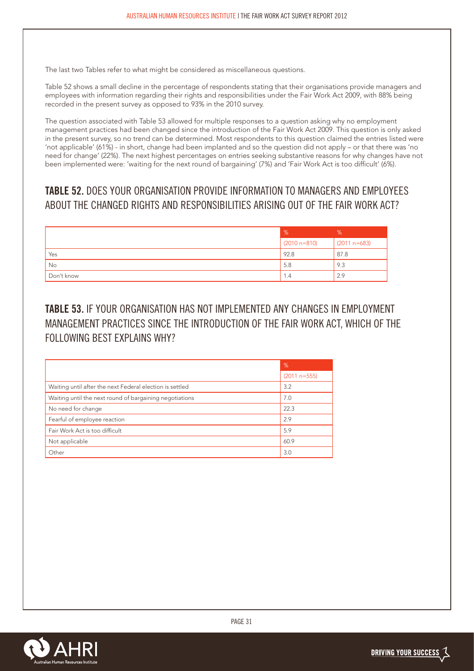The last two Tables refer to what might be considered as miscellaneous questions.

Table 52 shows a small decline in the percentage of respondents stating that their organisations provide managers and employees with information regarding their rights and responsibilities under the Fair Work Act 2009, with 88% being recorded in the present survey as opposed to 93% in the 2010 survey.

The question associated with Table 53 allowed for multiple responses to a question asking why no employment management practices had been changed since the introduction of the Fair Work Act 2009. This question is only asked in the present survey, so no trend can be determined. Most respondents to this question claimed the entries listed were 'not applicable' (61%) - in short, change had been implanted and so the question did not apply – or that there was 'no need for change' (22%). The next highest percentages on entries seeking substantive reasons for why changes have not been implemented were: 'waiting for the next round of bargaining' (7%) and 'Fair Work Act is too difficult' (6%).

## **TABLE 52.** DOES YOUR ORGANISATION PROVIDE INFORMATION TO MANAGERS AND EMPLOYEES ABOUT THE CHANGED RIGHTS AND RESPONSIBILITIES ARISING OUT OF THE FAIR WORK ACT?

|            | %                | %              |
|------------|------------------|----------------|
|            | $(2010 n = 810)$ | $(2011 n=683)$ |
| Yes        | 92.8             | 87.8           |
| No         | 5.8              | 9.3            |
| Don't know | 1.4              | 2.9            |

## **TABLE 53.** IF YOUR ORGANISATION HAS NOT IMPLEMENTED ANY CHANGES IN EMPLOYMENT MANAGEMENT PRACTICES SINCE THE INTRODUCTION OF THE FAIR WORK ACT, WHICH OF THE FOLLOWING BEST EXPLAINS WHY?

|                                                          | %              |
|----------------------------------------------------------|----------------|
|                                                          | $(2011 n=555)$ |
| Waiting until after the next Federal election is settled | 3.2            |
| Waiting until the next round of bargaining negotiations  | 7.0            |
| No need for change                                       | 22.3           |
| Fearful of employee reaction                             | 2.9            |
| Fair Work Act is too difficult                           | 5.9            |
| Not applicable                                           | 60.9           |
| Other                                                    | 3.0            |

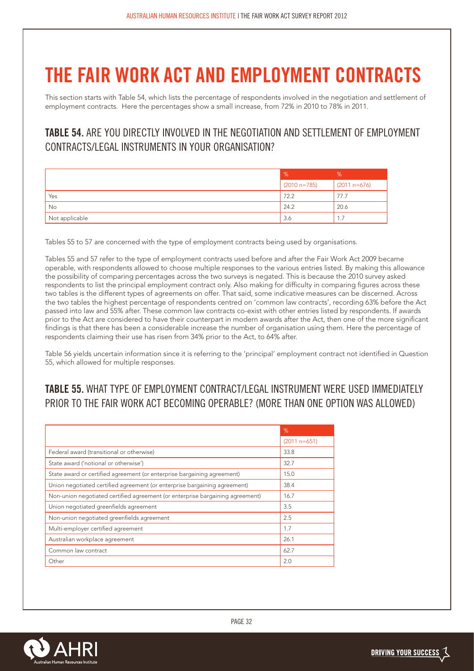# **THE FAIR WORK ACT AND EMPLOYMENT CONTRACTS**

This section starts with Table 54, which lists the percentage of respondents involved in the negotiation and settlement of employment contracts. Here the percentages show a small increase, from 72% in 2010 to 78% in 2011.

## **TABLE 54.** ARE YOU DIRECTLY INVOLVED IN THE NEGOTIATION AND SETTLEMENT OF EMPLOYMENT CONTRACTS/LEGAL INSTRUMENTS IN YOUR ORGANISATION?

|                | $\frac{9}{6}$  | %              |
|----------------|----------------|----------------|
|                | $(2010 n=785)$ | $(2011 n=676)$ |
| Yes            | 72.2           | 77.7           |
| No             | 24.2           | 20.6           |
| Not applicable | 3.6            | 1.7            |

Tables 55 to 57 are concerned with the type of employment contracts being used by organisations.

Tables 55 and 57 refer to the type of employment contracts used before and after the Fair Work Act 2009 became operable, with respondents allowed to choose multiple responses to the various entries listed. By making this allowance the possibility of comparing percentages across the two surveys is negated. This is because the 2010 survey asked respondents to list the principal employment contract only. Also making for difficulty in comparing figures across these two tables is the different types of agreements on offer. That said, some indicative measures can be discerned. Across the two tables the highest percentage of respondents centred on 'common law contracts', recording 63% before the Act passed into law and 55% after. These common law contracts co-exist with other entries listed by respondents. If awards prior to the Act are considered to have their counterpart in modern awards after the Act, then one of the more significant findings is that there has been a considerable increase the number of organisation using them. Here the percentage of respondents claiming their use has risen from 34% prior to the Act, to 64% after.

Table 56 yields uncertain information since it is referring to the 'principal' employment contract not identified in Question 55, which allowed for multiple responses.

## **TABLE 55.** WHAT TYPE OF EMPLOYMENT CONTRACT/LEGAL INSTRUMENT WERE USED IMMEDIATELY PRIOR TO THE FAIR WORK ACT BECOMING OPERABLE? (MORE THAN ONE OPTION WAS ALLOWED)

|                                                                               | %              |
|-------------------------------------------------------------------------------|----------------|
|                                                                               | $(2011 n=651)$ |
| Federal award (transitional or otherwise)                                     | 33.8           |
| State award ('notional or otherwise')                                         | 32.7           |
| State award or certified agreement (or enterprise bargaining agreement)       | 15.0           |
| Union negotiated certified agreement (or enterprise bargaining agreement)     | 38.4           |
| Non-union negotiated certified agreement (or enterprise bargaining agreement) | 16.7           |
| Union negotiated greenfields agreement                                        | 3.5            |
| Non-union negotiated greenfields agreement                                    | 2.5            |
| Multi-employer certified agreement                                            | 1.7            |
| Australian workplace agreement                                                | 26.1           |
| Common law contract                                                           | 62.7           |
| Other                                                                         | 2.0            |

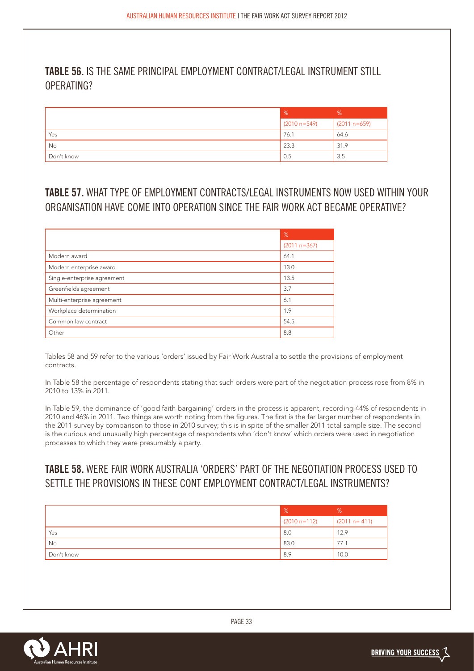### **TABLE 56.** IS THE SAME PRINCIPAL EMPLOYMENT CONTRACT/LEGAL INSTRUMENT STILL OPERATING?

|            | $\frac{9}{6}$    | %              |
|------------|------------------|----------------|
|            | $(2010 n = 549)$ | $(2011 n=659)$ |
| Yes        | 76.1             | 64.6           |
| No         | 23.3             | 31.9           |
| Don't know | 0.5              | 3.5            |

## **TABLE 57.** WHAT TYPE OF EMPLOYMENT CONTRACTS/LEGAL INSTRUMENTS NOW USED WITHIN YOUR ORGANISATION HAVE COME INTO OPERATION SINCE THE FAIR WORK ACT BECAME OPERATIVE?

|                             | %              |
|-----------------------------|----------------|
|                             | $(2011 n=367)$ |
| Modern award                | 64.1           |
| Modern enterprise award     | 13.0           |
| Single-enterprise agreement | 13.5           |
| Greenfields agreement       | 3.7            |
| Multi-enterprise agreement  | 6.1            |
| Workplace determination     | 1.9            |
| Common law contract         | 54.5           |
| Other                       | 8.8            |

Tables 58 and 59 refer to the various 'orders' issued by Fair Work Australia to settle the provisions of employment contracts.

In Table 58 the percentage of respondents stating that such orders were part of the negotiation process rose from 8% in 2010 to 13% in 2011.

In Table 59, the dominance of 'good faith bargaining' orders in the process is apparent, recording 44% of respondents in 2010 and 46% in 2011. Two things are worth noting from the figures. The first is the far larger number of respondents in the 2011 survey by comparison to those in 2010 survey; this is in spite of the smaller 2011 total sample size. The second is the curious and unusually high percentage of respondents who 'don't know' which orders were used in negotiation processes to which they were presumably a party.

## **TABLE 58.** WERE FAIR WORK AUSTRALIA 'ORDERS' PART OF THE NEGOTIATION PROCESS USED TO SETTLE THE PROVISIONS IN THESE CONT EMPLOYMENT CONTRACT/LEGAL INSTRUMENTS?

|            | $\frac{9}{6}$  | %              |
|------------|----------------|----------------|
|            | $(2010 n=112)$ | $(2011 n=411)$ |
| Yes        | 8.0            | 12.9           |
| No         | 83.0           | 77.1           |
| Don't know | 8.9            | 10.0           |

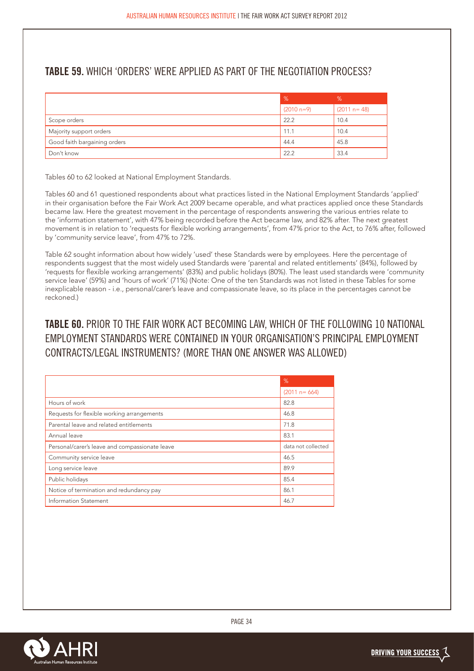## **TABLE 59.** WHICH 'ORDERS' WERE APPLIED AS PART OF THE NEGOTIATION PROCESS?

|                              | %            | %               |
|------------------------------|--------------|-----------------|
|                              | $(2010 n=9)$ | $(2011 n = 48)$ |
| Scope orders                 | 22.2         | 10.4            |
| Majority support orders      | 11.1         | 10.4            |
| Good faith bargaining orders | 44.4         | 45.8            |
| Don't know                   | 22.2         | 33.4            |

Tables 60 to 62 looked at National Employment Standards.

Tables 60 and 61 questioned respondents about what practices listed in the National Employment Standards 'applied' in their organisation before the Fair Work Act 2009 became operable, and what practices applied once these Standards became law. Here the greatest movement in the percentage of respondents answering the various entries relate to the 'information statement', with 47% being recorded before the Act became law, and 82% after. The next greatest movement is in relation to 'requests for flexible working arrangements', from 47% prior to the Act, to 76% after, followed by 'community service leave', from 47% to 72%.

Table 62 sought information about how widely 'used' these Standards were by employees. Here the percentage of respondents suggest that the most widely used Standards were 'parental and related entitlements' (84%), followed by 'requests for flexible working arrangements' (83%) and public holidays (80%). The least used standards were 'community service leave' (59%) and 'hours of work' (71%) (Note: One of the ten Standards was not listed in these Tables for some inexplicable reason - i.e., personal/carer's leave and compassionate leave, so its place in the percentages cannot be reckoned.)

## **TABLE 60.** PRIOR TO THE FAIR WORK ACT BECOMING LAW, WHICH OF THE FOLLOWING 10 NATIONAL EMPLOYMENT STANDARDS WERE CONTAINED IN YOUR ORGANISATION'S PRINCIPAL EMPLOYMENT CONTRACTS/LEGAL INSTRUMENTS? (MORE THAN ONE ANSWER WAS ALLOWED)

|                                                | %                  |
|------------------------------------------------|--------------------|
|                                                | $(2011 n = 664)$   |
| Hours of work                                  | 82.8               |
| Requests for flexible working arrangements     | 46.8               |
| Parental leave and related entitlements        | 71.8               |
| Annual leave                                   | 83.1               |
| Personal/carer's leave and compassionate leave | data not collected |
| Community service leave                        | 46.5               |
| Long service leave                             | 89.9               |
| Public holidays                                | 85.4               |
| Notice of termination and redundancy pay       | 86.1               |
| <b>Information Statement</b>                   | 46.7               |

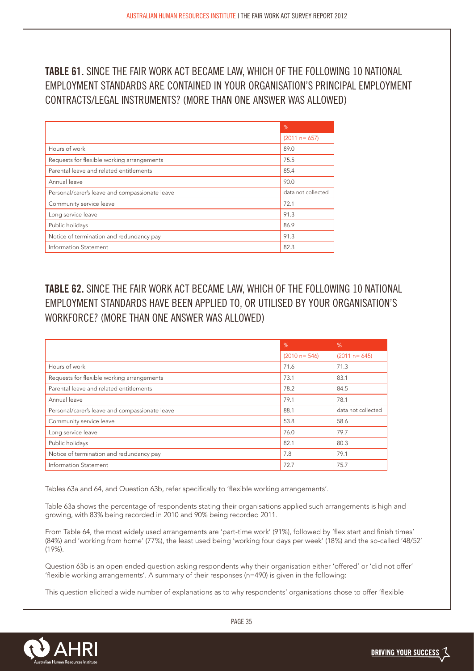**TABLE 61.** SINCE THE FAIR WORK ACT BECAME LAW, WHICH OF THE FOLLOWING 10 NATIONAL EMPLOYMENT STANDARDS ARE CONTAINED IN YOUR ORGANISATION'S PRINCIPAL EMPLOYMENT CONTRACTS/LEGAL INSTRUMENTS? (MORE THAN ONE ANSWER WAS ALLOWED)

|                                                | %                  |
|------------------------------------------------|--------------------|
|                                                | $(2011 n = 657)$   |
| Hours of work                                  | 89.0               |
| Requests for flexible working arrangements     | 75.5               |
| Parental leave and related entitlements        | 85.4               |
| Annual leave                                   | 90.0               |
| Personal/carer's leave and compassionate leave | data not collected |
| Community service leave                        | 72.1               |
| Long service leave                             | 91.3               |
| Public holidays                                | 86.9               |
| Notice of termination and redundancy pay       | 91.3               |
| Information Statement                          | 82.3               |

**TABLE 62.** SINCE THE FAIR WORK ACT BECAME LAW, WHICH OF THE FOLLOWING 10 NATIONAL EMPLOYMENT STANDARDS HAVE BEEN APPLIED TO, OR UTILISED BY YOUR ORGANISATION'S WORKFORCE? (MORE THAN ONE ANSWER WAS ALLOWED)

|                                                | %                | %                  |
|------------------------------------------------|------------------|--------------------|
|                                                | $(2010 n = 546)$ | $(2011 n = 645)$   |
| Hours of work                                  | 71.6             | 71.3               |
| Requests for flexible working arrangements     | 73.1             | 83.1               |
| Parental leave and related entitlements        | 78.2             | 84.5               |
| Annual leave                                   | 79.1             | 78.1               |
| Personal/carer's leave and compassionate leave | 88.1             | data not collected |
| Community service leave                        | 53.8             | 58.6               |
| Long service leave                             | 76.0             | 79.7               |
| Public holidays                                | 82.1             | 80.3               |
| Notice of termination and redundancy pay       | 7.8              | 79.1               |
| Information Statement                          | 72.7             | 75.7               |

Tables 63a and 64, and Question 63b, refer specifically to 'flexible working arrangements'.

Table 63a shows the percentage of respondents stating their organisations applied such arrangements is high and growing, with 83% being recorded in 2010 and 90% being recorded 2011.

From Table 64, the most widely used arrangements are 'part-time work' (91%), followed by 'flex start and finish times' (84%) and 'working from home' (77%), the least used being 'working four days per week' (18%) and the so-called '48/52' (19%).

Question 63b is an open ended question asking respondents why their organisation either 'offered' or 'did not offer' 'flexible working arrangements'. A summary of their responses (n=490) is given in the following:

This question elicited a wide number of explanations as to why respondents' organisations chose to offer 'flexible

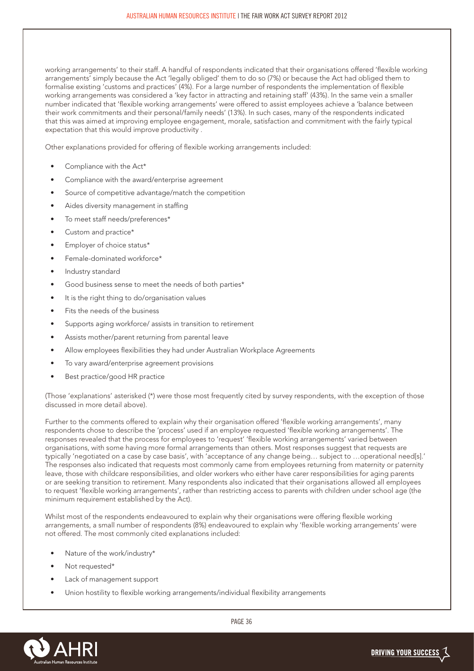working arrangements' to their staff. A handful of respondents indicated that their organisations offered 'flexible working arrangements' simply because the Act 'legally obliged' them to do so (7%) or because the Act had obliged them to formalise existing 'customs and practices' (4%). For a large number of respondents the implementation of flexible working arrangements was considered a 'key factor in attracting and retaining staff' (43%). In the same vein a smaller number indicated that 'flexible working arrangements' were offered to assist employees achieve a 'balance between their work commitments and their personal/family needs' (13%). In such cases, many of the respondents indicated that this was aimed at improving employee engagement, morale, satisfaction and commitment with the fairly typical expectation that this would improve productivity .

Other explanations provided for offering of flexible working arrangements included:

- Compliance with the Act\*
- Compliance with the award/enterprise agreement
- Source of competitive advantage/match the competition
- Aides diversity management in staffing
- To meet staff needs/preferences\*
- Custom and practice\*
- Employer of choice status\*
- Female-dominated workforce\*
- Industry standard
- Good business sense to meet the needs of both parties\*
- It is the right thing to do/organisation values
- Fits the needs of the business
- Supports aging workforce/ assists in transition to retirement
- Assists mother/parent returning from parental leave
- Allow employees flexibilities they had under Australian Workplace Agreements
- To vary award/enterprise agreement provisions
- Best practice/good HR practice

(Those 'explanations' asterisked (\*) were those most frequently cited by survey respondents, with the exception of those discussed in more detail above).

Further to the comments offered to explain why their organisation offered 'flexible working arrangements', many respondents chose to describe the 'process' used if an employee requested 'flexible working arrangements'. The responses revealed that the process for employees to 'request' 'flexible working arrangements' varied between organisations, with some having more formal arrangements than others. Most responses suggest that requests are typically 'negotiated on a case by case basis', with 'acceptance of any change being… subject to …operational need[s].' The responses also indicated that requests most commonly came from employees returning from maternity or paternity leave, those with childcare responsibilities, and older workers who either have carer responsibilities for aging parents or are seeking transition to retirement. Many respondents also indicated that their organisations allowed all employees to request 'flexible working arrangements', rather than restricting access to parents with children under school age (the minimum requirement established by the Act).

Whilst most of the respondents endeavoured to explain why their organisations were offering flexible working arrangements, a small number of respondents (8%) endeavoured to explain why 'flexible working arrangements' were not offered. The most commonly cited explanations included:

- Nature of the work/industry\*
- Not requested\*
- Lack of management support
- Union hostility to flexible working arrangements/individual flexibility arrangements

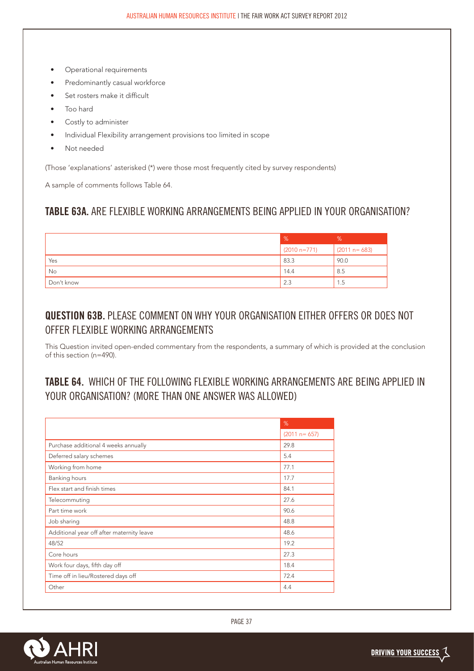- Operational requirements
- Predominantly casual workforce
- Set rosters make it difficult
- Too hard
- Costly to administer
- Individual Flexibility arrangement provisions too limited in scope
- • Not needed

(Those 'explanations' asterisked (\*) were those most frequently cited by survey respondents)

A sample of comments follows Table 64.

#### **TABLE 63A.** ARE FLEXIBLE WORKING ARRANGEMENTS BEING APPLIED IN YOUR ORGANISATION?

|            | %              | %                |
|------------|----------------|------------------|
|            | $(2010 n=771)$ | $(2011 n = 683)$ |
| Yes        | 83.3           | 90.0             |
| No         | 14.4           | 8.5              |
| Don't know | 2.3            | 1.5              |

### **QUESTION 63B.** PLEASE COMMENT ON WHY YOUR ORGANISATION EITHER OFFERS OR DOES NOT OFFER FLEXIBLE WORKING ARRANGEMENTS

This Question invited open-ended commentary from the respondents, a summary of which is provided at the conclusion of this section (n=490).

## **TABLE 64.** WHICH OF THE FOLLOWING FLEXIBLE WORKING ARRANGEMENTS ARE BEING APPLIED IN YOUR ORGANISATION? (MORE THAN ONE ANSWER WAS ALLOWED)

|                                           | %                |
|-------------------------------------------|------------------|
|                                           | $(2011 n = 657)$ |
| Purchase additional 4 weeks annually      | 29.8             |
| Deferred salary schemes                   | 5.4              |
| Working from home                         | 77.1             |
| Banking hours                             | 17.7             |
| Flex start and finish times               | 84.1             |
| Telecommuting                             | 27.6             |
| Part time work                            | 90.6             |
| Job sharing                               | 48.8             |
| Additional year off after maternity leave | 48.6             |
| 48/52                                     | 19.2             |
| Core hours                                | 27.3             |
| Work four days, fifth day off             | 18.4             |
| Time off in lieu/Rostered days off        | 72.4             |
| Other                                     | 4.4              |

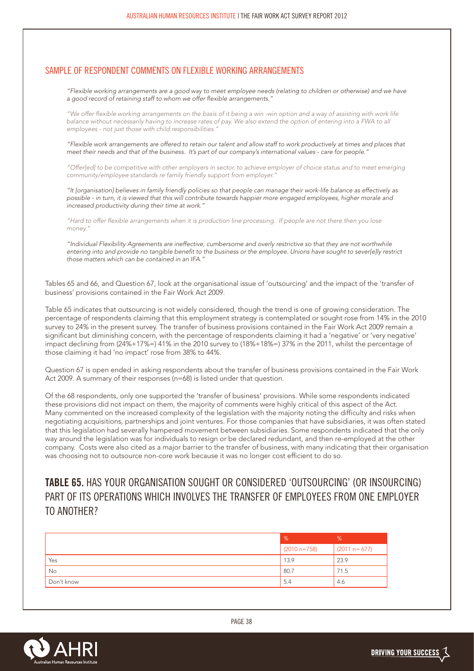#### SAMPLE OF RESPONDENT COMMENTS ON FLEXIBLE WORKING ARRANGEMENTS

*"Flexible working arrangements are a good way to meet employee needs (relating to children or otherwise) and we have a good record of retaining staff to whom we offer flexible arrangements."*

*"We offer flexible working arrangements on the basis of it being a win -win option and a way of assisting with work life balance without necessarily having to increase rates of pay. We also extend the option of entering into a FWA to all employees - not just those with child responsibilities."*

*"Flexible work arrangements are offered to retain our talent and allow staff to work productively at times and places that meet their needs and that of the business. It's part of our company's international values - care for people."*

*"Offer[ed] to be competitive with other employers in sector, to achieve employer of choice status and to meet emerging community/employee standards re family friendly support from employer."*

*"It [organisation] believes in family friendly policies so that people can manage their work-life balance as effectively as possible - in turn, it is viewed that this will contribute towards happier more engaged employees, higher morale and increased productivity during their time at work."*

*"Hard to offer flexible arrangements when it is production line processing. If people are not there then you lose money."*

*"Individual Flexibility Agreements are ineffective, cumbersome and overly restrictive so that they are not worthwhile entering into and provide no tangible benefit to the business or the employee. Unions have sought to sever[e]ly restrict those matters which can be contained in an IFA."*

Tables 65 and 66, and Question 67, look at the organisational issue of 'outsourcing' and the impact of the 'transfer of business' provisions contained in the Fair Work Act 2009.

Table 65 indicates that outsourcing is not widely considered, though the trend is one of growing consideration. The percentage of respondents claiming that this employment strategy is contemplated or sought rose from 14% in the 2010 survey to 24% in the present survey. The transfer of business provisions contained in the Fair Work Act 2009 remain a significant but diminishing concern, with the percentage of respondents claiming it had a 'negative' or 'very negative' impact declining from (24%+17%=) 41% in the 2010 survey to (18%+18%=) 37% in the 2011, whilst the percentage of those claiming it had 'no impact' rose from 38% to 44%.

Question 67 is open ended in asking respondents about the transfer of business provisions contained in the Fair Work Act 2009. A summary of their responses (n=68) is listed under that question.

Of the 68 respondents, only one supported the 'transfer of business' provisions. While some respondents indicated these provisions did not impact on them, the majority of comments were highly critical of this aspect of the Act. Many commented on the increased complexity of the legislation with the majority noting the difficulty and risks when negotiating acquisitions, partnerships and joint ventures. For those companies that have subsidiaries, it was often stated that this legislation had severally hampered movement between subsidiaries. Some respondents indicated that the only way around the legislation was for individuals to resign or be declared redundant, and then re-employed at the other company. Costs were also cited as a major barrier to the transfer of business, with many indicating that their organisation was choosing not to outsource non-core work because it was no longer cost efficient to do so.

## **TABLE 65.** HAS YOUR ORGANISATION SOUGHT OR CONSIDERED 'OUTSOURCING' (OR INSOURCING) PART OF ITS OPERATIONS WHICH INVOLVES THE TRANSFER OF EMPLOYEES FROM ONE EMPLOYER TO ANOTHER?

|            | $\%$           | %                |
|------------|----------------|------------------|
|            | $(2010 n=758)$ | $(2011 n = 677)$ |
| Yes        | 13.9           | 23.9             |
| No         | .80.7          | 71.5             |
| Don't know | 5.4            | 4.6              |

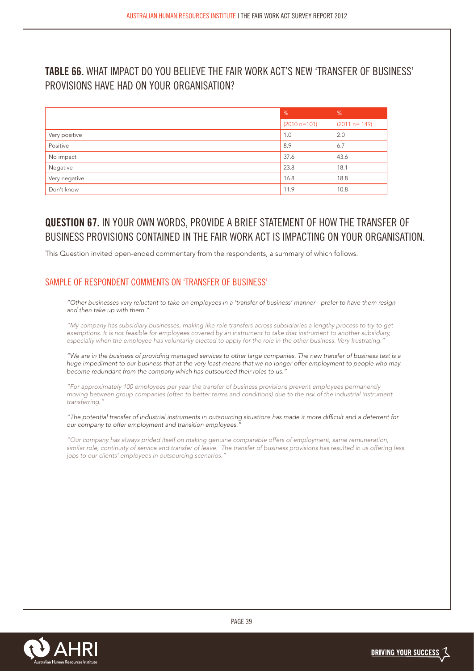### **TABLE 66.** WHAT IMPACT DO YOU BELIEVE THE FAIR WORK ACT'S NEW 'TRANSFER OF BUSINESS' PROVISIONS HAVE HAD ON YOUR ORGANISATION?

|               | $\sqrt{2}$     | %              |
|---------------|----------------|----------------|
|               | $(2010 n=101)$ | $(2011 n=149)$ |
| Very positive | 1.0            | 2.0            |
| Positive      | 8.9            | 6.7            |
| No impact     | 37.6           | 43.6           |
| Negative      | 23.8           | 18.1           |
| Very negative | 16.8           | 18.8           |
| Don't know    | 11.9           | 10.8           |

## **QUESTION 67.** IN YOUR OWN WORDS, PROVIDE A BRIEF STATEMENT OF HOW THE TRANSFER OF BUSINESS PROVISIONS CONTAINED IN THE FAIR WORK ACT IS IMPACTING ON YOUR ORGANISATION.

This Question invited open-ended commentary from the respondents, a summary of which follows.

#### SAMPLE OF RESPONDENT COMMENTS ON 'TRANSFER OF BUSINESS'

*"Other businesses very reluctant to take on employees in a 'transfer of business' manner - prefer to have them resign and then take up with them."*

*"My company has subsidiary businesses, making like role transfers across subsidiaries a lengthy process to try to get exemptions. It is not feasible for employees covered by an instrument to take that instrument to another subsidiary, especially when the employee has voluntarily elected to apply for the role in the other business. Very frustrating."*

*"We are in the business of providing managed services to other large companies. The new transfer of business test is a huge impediment to our business that at the very least means that we no longer offer employment to people who may become redundant from the company which has outsourced their roles to us."*

*"For approximately 100 employees per year the transfer of business provisions prevent employees permanently moving between group companies (often to better terms and conditions) due to the risk of the industrial instrument transferring."*

*"The potential transfer of industrial instruments in outsourcing situations has made it more difficult and a deterrent for our company to offer employment and transition employees."* 

*"Our company has always prided itself on making genuine comparable offers of employment, same remuneration, similar role, continuity of service and transfer of leave. The transfer of business provisions has resulted in us offering less jobs to our clients' employees in outsourcing scenarios."*

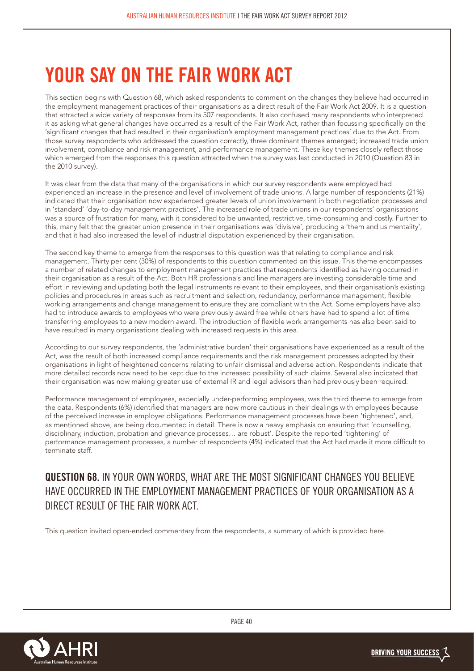# **YOUR SAY ON THE FAIR WORK ACT**

This section begins with Question 68, which asked respondents to comment on the changes they believe had occurred in the employment management practices of their organisations as a direct result of the Fair Work Act 2009. It is a question that attracted a wide variety of responses from its 507 respondents. It also confused many respondents who interpreted it as asking what general changes have occurred as a result of the Fair Work Act, rather than focussing specifically on the 'significant changes that had resulted in their organisation's employment management practices' due to the Act. From those survey respondents who addressed the question correctly, three dominant themes emerged; increased trade union involvement, compliance and risk management, and performance management. These key themes closely reflect those which emerged from the responses this question attracted when the survey was last conducted in 2010 (Question 83 in the 2010 survey).

It was clear from the data that many of the organisations in which our survey respondents were employed had experienced an increase in the presence and level of involvement of trade unions. A large number of respondents (21%) indicated that their organisation now experienced greater levels of union involvement in both negotiation processes and in 'standard' 'day-to-day management practices'. The increased role of trade unions in our respondents' organisations was a source of frustration for many, with it considered to be unwanted, restrictive, time-consuming and costly. Further to this, many felt that the greater union presence in their organisations was 'divisive', producing a 'them and us mentality', and that it had also increased the level of industrial disputation experienced by their organisation.

The second key theme to emerge from the responses to this question was that relating to compliance and risk management. Thirty per cent (30%) of respondents to this question commented on this issue. This theme encompasses a number of related changes to employment management practices that respondents identified as having occurred in their organisation as a result of the Act. Both HR professionals and line managers are investing considerable time and effort in reviewing and updating both the legal instruments relevant to their employees, and their organisation's existing policies and procedures in areas such as recruitment and selection, redundancy, performance management, flexible working arrangements and change management to ensure they are compliant with the Act. Some employers have also had to introduce awards to employees who were previously award free while others have had to spend a lot of time transferring employees to a new modern award. The introduction of flexible work arrangements has also been said to have resulted in many organisations dealing with increased requests in this area.

According to our survey respondents, the 'administrative burden' their organisations have experienced as a result of the Act, was the result of both increased compliance requirements and the risk management processes adopted by their organisations in light of heightened concerns relating to unfair dismissal and adverse action. Respondents indicate that more detailed records now need to be kept due to the increased possibility of such claims. Several also indicated that their organisation was now making greater use of external IR and legal advisors than had previously been required.

Performance management of employees, especially under-performing employees, was the third theme to emerge from the data. Respondents (6%) identified that managers are now more cautious in their dealings with employees because of the perceived increase in employer obligations. Performance management processes have been 'tightened', and, as mentioned above, are being documented in detail. There is now a heavy emphasis on ensuring that 'counselling, disciplinary, induction, probation and grievance processes… are robust'. Despite the reported 'tightening' of performance management processes, a number of respondents (4%) indicated that the Act had made it more difficult to terminate staff.

**QUESTION 68.** IN YOUR OWN WORDS, WHAT ARE THE MOST SIGNIFICANT CHANGES YOU BELIEVE HAVE OCCURRED IN THE EMPLOYMENT MANAGEMENT PRACTICES OF YOUR ORGANISATION AS A DIRECT RESULT OF THE FAIR WORK ACT.

This question invited open-ended commentary from the respondents, a summary of which is provided here.

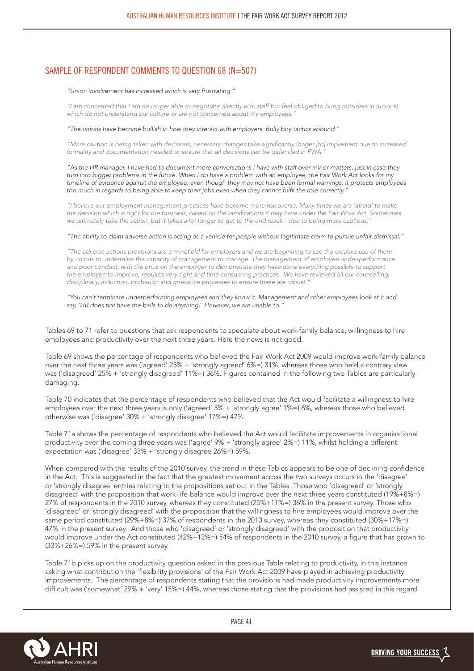#### SAMPLE OF RESPONDENT COMMENTS TO QUESTION 68 (N=507)

#### *"Union involvement has increased which is very frustrating."*

*"I am concerned that I am no longer able to negotiate directly with staff but feel obliged to bring outsiders in (unions) which do not understand our culture or are not concerned about my employees."*

#### *"The unions have become bullish in how they interact with employers. Bully boy tactics abound."*

*"More caution is being taken with decisions, necessary changes take significantly longer [to] implement due to increased formality and documentation needed to ensure that all decisions can be defended in FWA."*

*"As the HR manager, I have had to document more conversations I have with staff over minor matters, just in case they turn into bigger problems in the future. When I do have a problem with an employee, the Fair Work Act looks for my timeline of evidence against the employee, even though they may not have been formal warnings. It protects employees too much in regards to being able to keep their jobs even when they cannot fulfil the role correctly."*

*"I believe our employment management practices have become more risk averse. Many times we are 'afraid' to make the decision which is right for the business, based on the ramifications it may have under the Fair Work Act. Sometimes we ultimately take the action, but it takes a lot longer to get to the end result - due to being more cautious."*

*"The ability to claim adverse action is acting as a vehicle for people without legitimate claim to pursue unfair dismissal."*

*"The adverse actions provisions are a minefield for employers and we are beginning to see the creative use of them by unions to undermine the capacity of management to manage. The management of employee under-performance*  and poor conduct, with the onus on the employer to demonstrate they have done everything possible to support the employee to improve, requires very tight and time consuming practices. We have reviewed all our counselling, *disciplinary, induction, probation and grievance processes to ensure these are robust."*

#### *"You can't terminate underperforming employees and they know it. Management and other employees look at it and say, 'HR does not have the balls to do anything!' However, we are unable to."*

Tables 69 to 71 refer to questions that ask respondents to speculate about work-family balance, willingness to hire employees and productivity over the next three years. Here the news is not good.

Table 69 shows the percentage of respondents who believed the Fair Work Act 2009 would improve work-family balance over the next three years was ('agreed' 25% + 'strongly agreed' 6%=) 31%, whereas those who held a contrary view was ('disagreed' 25% + 'strongly disagreed' 11%=) 36%. Figures contained in the following two Tables are particularly damaging.

Table 70 indicates that the percentage of respondents who believed that the Act would facilitate a willingness to hire employees over the next three years is only ('agreed' 5% + 'strongly agree' 1%=) 6%, whereas those who believed otherwise was ('disagree' 30% + 'strongly disagree' 17%=) 47%.

Table 71a shows the percentage of respondents who believed the Act would facilitate improvements in organisational productivity over the coming three years was ('agree' 9% + 'strongly agree' 2%=) 11%, whilst holding a different expectation was ('disagree' 33% + 'strongly disagree 26%=) 59%.

When compared with the results of the 2010 survey, the trend in these Tables appears to be one of declining confidence in the Act. This is suggested in the fact that the greatest movement across the two surveys occurs in the 'disagree' or 'strongly disagree' entries relating to the propositions set out in the Tables. Those who 'disagreed' or 'strongly disagreed' with the proposition that work-life balance would improve over the next three years constituted (19%+8%=) 27% of respondents in the 2010 survey, whereas they constituted (25%+11%=) 36% in the present survey. Those who 'disagreed' or 'strongly disagreed' with the proposition that the willingness to hire employees would improve over the same period constituted (29%+8%=) 37% of respondents in the 2010 survey, whereas they constituted (30%+17%=) 47% in the present survey. And those who 'disagreed' or 'strongly disagreed' with the proposition that productivity would improve under the Act constituted (42%+12%=) 54% of respondents in the 2010 survey, a figure that has grown to (33%+26%=) 59% in the present survey.

Table 71b picks up on the productivity question asked in the previous Table relating to productivity, in this instance asking what contribution the 'flexibility provisions' of the Fair Work Act 2009 have played in achieving productivity improvements. The percentage of respondents stating that the provisions had made productivity improvements more difficult was ('somewhat' 29% + 'very' 15%=) 44%, whereas those stating that the provisions had assisted in this regard

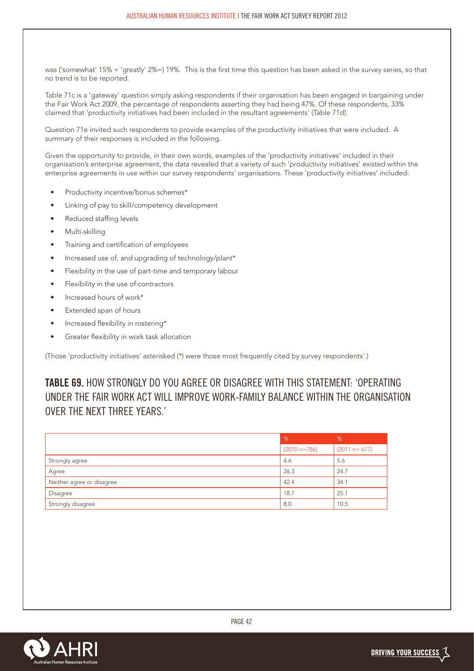was ('somewhat' 15% + 'greatly' 2%=) 19%. This is the first time this question has been asked in the survey series, so that no trend is to be reported.

Table 71c is a 'gateway' question simply asking respondents if their organisation has been engaged in bargaining under the Fair Work Act 2009, the percentage of respondents asserting they had being 47%. Of these respondents, 33% claimed that 'productivity initiatives had been included in the resultant agreements' (Table 71d).

Question 71e invited such respondents to provide examples of the productivity initiatives that were included. A summary of their responses is included in the following.

Given the opportunity to provide, in their own words, examples of the 'productivity initiatives' included in their organisation's enterprise agreement, the data revealed that a variety of such 'productivity initiatives' existed within the enterprise agreements in use within our survey respondents' organisations. These 'productivity initiatives' included:

- Productivity incentive/bonus schemes\*
- Linking of pay to skill/competency development
- Reduced staffing levels
- Multi-skilling
- Training and certification of employees
- Increased use of, and upgrading of technology/plant\*
- Flexibility in the use of part-time and temporary labour
- Flexibility in the use of contractors
- Increased hours of work\*
- Extended span of hours
- Increased flexibility in rostering\*
- Greater flexibility in work task allocation

(Those 'productivity initiatives' asterisked (\*) were those most frequently cited by survey respondents'.)

**TABLE 69.** HOW STRONGLY DO YOU AGREE OR DISAGREE WITH THIS STATEMENT: 'OPERATING UNDER THE FAIR WORK ACT WILL IMPROVE WORK-FAMILY BALANCE WITHIN THE ORGANISATION OVER THE NEXT THREE YEARS.'

|                           | %              | $\%$             |
|---------------------------|----------------|------------------|
|                           | $(2010 n=786)$ | $(2011 n = 677)$ |
| Strongly agree            | 4.6            | 5.6              |
| Agree                     | 26.3           | 24.7             |
| Neither agree or disagree | 42.4           | 34.1             |
| Disagree                  | 18.7           | 25.1             |
| Strongly disagree         | 8.0            | 10.5             |

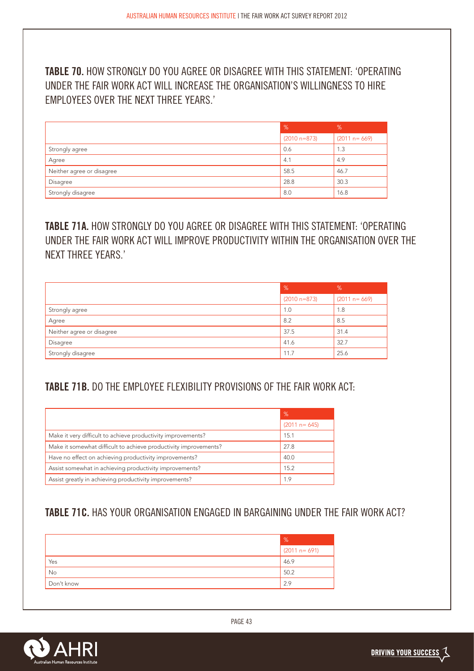**TABLE 70.** HOW STRONGLY DO YOU AGREE OR DISAGREE WITH THIS STATEMENT: 'OPERATING UNDER THE FAIR WORK ACT WILL INCREASE THE ORGANISATION'S WILLINGNESS TO HIRE EMPLOYEES OVER THE NEXT THREE YEARS.'

|                           | %              | %                |
|---------------------------|----------------|------------------|
|                           | $(2010 n=873)$ | $(2011 n = 669)$ |
| Strongly agree            | 0.6            | 1.3              |
| Agree                     | 4.1            | 4.9              |
| Neither agree or disagree | 58.5           | 46.7             |
| Disagree                  | 28.8           | 30.3             |
| Strongly disagree         | 8.0            | 16.8             |

**TABLE 71A.** HOW STRONGLY DO YOU AGREE OR DISAGREE WITH THIS STATEMENT: 'OPERATING UNDER THE FAIR WORK ACT WILL IMPROVE PRODUCTIVITY WITHIN THE ORGANISATION OVER THE NEXT THREE YEARS.'

|                           | $\frac{9}{6}$  | %                |
|---------------------------|----------------|------------------|
|                           | $(2010 n=873)$ | $(2011 n = 669)$ |
| Strongly agree            | 1.0            | 1.8              |
| Agree                     | 8.2            | 8.5              |
| Neither agree or disagree | 37.5           | 31.4             |
| Disagree                  | 41.6           | 32.7             |
| Strongly disagree         | 11.7           | 25.6             |

### **TABLE 71B.** DO THE EMPLOYEE FLEXIBILITY PROVISIONS OF THE FAIR WORK ACT:

|                                                                  | %                |
|------------------------------------------------------------------|------------------|
|                                                                  | $(2011 n = 645)$ |
| Make it very difficult to achieve productivity improvements?     | 15.1             |
| Make it somewhat difficult to achieve productivity improvements? | 27.8             |
| Have no effect on achieving productivity improvements?           | 40.0             |
| Assist somewhat in achieving productivity improvements?          | 15.2             |
| Assist greatly in achieving productivity improvements?           | 1.9              |

## **TABLE 71C.** HAS YOUR ORGANISATION ENGAGED IN BARGAINING UNDER THE FAIR WORK ACT?

|            | %                |
|------------|------------------|
|            | $(2011 n = 691)$ |
| Yes        | 46.9             |
| No         | 50.2             |
| Don't know | 2.9              |

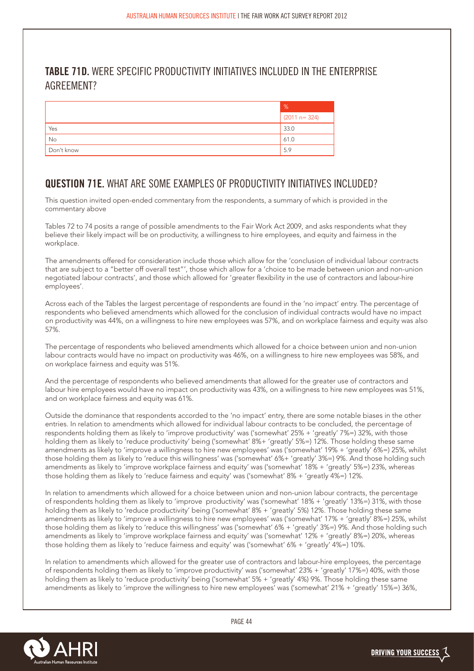### **TABLE 71D.** WERE SPECIFIC PRODUCTIVITY INITIATIVES INCLUDED IN THE ENTERPRISE AGREEMENT?

|            | $\%$             |
|------------|------------------|
|            | $(2011 n = 324)$ |
| Yes        | 33.0             |
| No         | 61.0             |
| Don't know | 5.9              |

## **QUESTION 71E.** WHAT ARE SOME EXAMPLES OF PRODUCTIVITY INITIATIVES INCLUDED?

This question invited open-ended commentary from the respondents, a summary of which is provided in the commentary above

Tables 72 to 74 posits a range of possible amendments to the Fair Work Act 2009, and asks respondents what they believe their likely impact will be on productivity, a willingness to hire employees, and equity and fairness in the workplace.

The amendments offered for consideration include those which allow for the 'conclusion of individual labour contracts that are subject to a "better off overall test"', those which allow for a 'choice to be made between union and non-union negotiated labour contracts', and those which allowed for 'greater flexibility in the use of contractors and labour-hire employees'.

Across each of the Tables the largest percentage of respondents are found in the 'no impact' entry. The percentage of respondents who believed amendments which allowed for the conclusion of individual contracts would have no impact on productivity was 44%, on a willingness to hire new employees was 57%, and on workplace fairness and equity was also 57%.

The percentage of respondents who believed amendments which allowed for a choice between union and non-union labour contracts would have no impact on productivity was 46%, on a willingness to hire new employees was 58%, and on workplace fairness and equity was 51%.

And the percentage of respondents who believed amendments that allowed for the greater use of contractors and labour hire employees would have no impact on productivity was 43%, on a willingness to hire new employees was 51%, and on workplace fairness and equity was 61%.

Outside the dominance that respondents accorded to the 'no impact' entry, there are some notable biases in the other entries. In relation to amendments which allowed for individual labour contracts to be concluded, the percentage of respondents holding them as likely to 'improve productivity' was ('somewhat' 25% + 'greatly' 7%=) 32%, with those holding them as likely to 'reduce productivity' being ('somewhat' 8%+ 'greatly' 5%=) 12%. Those holding these same amendments as likely to 'improve a willingness to hire new employees' was ('somewhat' 19% + 'greatly' 6%=) 25%, whilst those holding them as likely to 'reduce this willingness' was ('somewhat' 6%+ 'greatly' 3%=) 9%. And those holding such amendments as likely to 'improve workplace fairness and equity' was ('somewhat' 18% + 'greatly' 5%=) 23%, whereas those holding them as likely to 'reduce fairness and equity' was ('somewhat' 8% + 'greatly 4%=) 12%.

In relation to amendments which allowed for a choice between union and non-union labour contracts, the percentage of respondents holding them as likely to 'improve productivity' was ('somewhat' 18% + 'greatly' 13%=) 31%, with those holding them as likely to 'reduce productivity' being ('somewhat' 8% + 'greatly' 5%) 12%. Those holding these same amendments as likely to 'improve a willingness to hire new employees' was ('somewhat' 17% + 'greatly<sup>7</sup> 8%=) 25%, whilst those holding them as likely to 'reduce this willingness' was ('somewhat' 6% + 'greatly' 3%=) 9%. And those holding such amendments as likely to 'improve workplace fairness and equity' was ('somewhat' 12% + 'greatly' 8%=) 20%, whereas those holding them as likely to 'reduce fairness and equity' was ('somewhat' 6% + 'greatly' 4%=) 10%.

In relation to amendments which allowed for the greater use of contractors and labour-hire employees, the percentage of respondents holding them as likely to 'improve productivity' was ('somewhat' 23% + 'greatly' 17%=) 40%, with those holding them as likely to 'reduce productivity' being ('somewhat' 5% + 'greatly' 4%) 9%. Those holding these same amendments as likely to 'improve the willingness to hire new employees' was ('somewhat' 21% + 'greatly' 15%=) 36%,

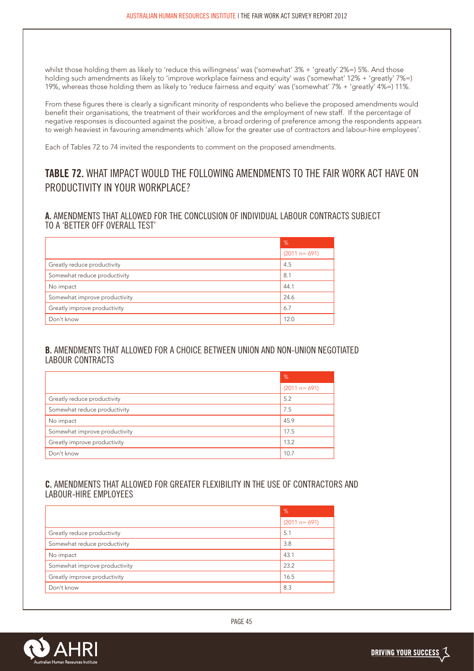whilst those holding them as likely to 'reduce this willingness' was ('somewhat' 3% + 'greatly' 2%=) 5%. And those holding such amendments as likely to 'improve workplace fairness and equity' was ('somewhat' 12% + 'greatly' 7%=) 19%, whereas those holding them as likely to 'reduce fairness and equity' was ('somewhat' 7% + 'greatly' 4%=) 11%.

From these figures there is clearly a significant minority of respondents who believe the proposed amendments would benefit their organisations, the treatment of their workforces and the employment of new staff. If the percentage of negative responses is discounted against the positive, a broad ordering of preference among the respondents appears to weigh heaviest in favouring amendments which 'allow for the greater use of contractors and labour-hire employees'.

Each of Tables 72 to 74 invited the respondents to comment on the proposed amendments.

## **TABLE 72.** WHAT IMPACT WOULD THE FOLLOWING AMENDMENTS TO THE FAIR WORK ACT HAVE ON PRODUCTIVITY IN YOUR WORKPLACE?

#### **A.** AMENDMENTS THAT ALLOWED FOR THE CONCLUSION OF INDIVIDUAL LABOUR CONTRACTS SUBJECT TO A 'BETTER OFF OVERALL TEST'

|                               | %                |
|-------------------------------|------------------|
|                               | $(2011 n = 691)$ |
| Greatly reduce productivity   | 4.5              |
| Somewhat reduce productivity  | 8.1              |
| No impact                     | 44.1             |
| Somewhat improve productivity | 24.6             |
| Greatly improve productivity  | 6.7              |
| Don't know                    | 12.0             |

#### **B.** AMENDMENTS THAT ALLOWED FOR A CHOICE BETWEEN UNION AND NON-UNION NEGOTIATED LABOUR CONTRACTS

|                               | %                |
|-------------------------------|------------------|
|                               | $(2011 n = 691)$ |
| Greatly reduce productivity   | 5.2              |
| Somewhat reduce productivity  | 7.5              |
| No impact                     | 45.9             |
| Somewhat improve productivity | 17.5             |
| Greatly improve productivity  | 13.2             |
| Don't know                    | 10.7             |

#### **C.** AMENDMENTS THAT ALLOWED FOR GREATER FLEXIBILITY IN THE USE OF CONTRACTORS AND LABOUR-HIRE EMPLOYEES

|                               | %                |
|-------------------------------|------------------|
|                               | $(2011 n = 691)$ |
| Greatly reduce productivity   | 5.1              |
| Somewhat reduce productivity  | 3.8              |
| No impact                     | 43.1             |
| Somewhat improve productivity | 23.2             |
| Greatly improve productivity  | 16.5             |
| Don't know                    | 8.3              |

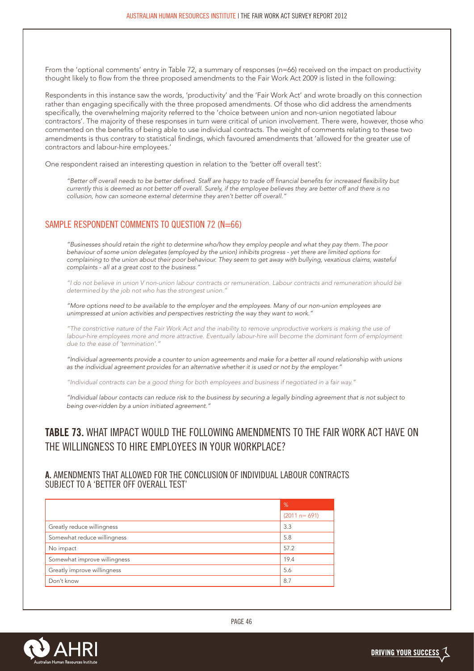From the 'optional comments' entry in Table 72, a summary of responses (n=66) received on the impact on productivity thought likely to flow from the three proposed amendments to the Fair Work Act 2009 is listed in the following:

Respondents in this instance saw the words, 'productivity' and the 'Fair Work Act' and wrote broadly on this connection rather than engaging specifically with the three proposed amendments. Of those who did address the amendments specifically, the overwhelming majority referred to the 'choice between union and non-union negotiated labour contractors'. The majority of these responses in turn were critical of union involvement. There were, however, those who commented on the benefits of being able to use individual contracts. The weight of comments relating to these two amendments is thus contrary to statistical findings, which favoured amendments that 'allowed for the greater use of contractors and labour-hire employees.'

One respondent raised an interesting question in relation to the 'better off overall test':

*"Better off overall needs to be better defined. Staff are happy to trade off financial benefits for increased flexibility but currently this is deemed as not better off overall. Surely, if the employee believes they are better off and there is no collusion, how can someone external determine they aren't better off overall."*

#### SAMPLE RESPONDENT COMMENTS TO QUESTION 72 (N=66)

*"Businesses should retain the right to determine who/how they employ people and what they pay them. The poor behaviour of some union delegates (employed by the union) inhibits progress - yet there are limited options for complaining to the union about their poor behaviour. They seem to get away with bullying, vexatious claims, wasteful complaints - all at a great cost to the business."*

*"I do not believe in union V non-union labour contracts or remuneration. Labour contracts and remuneration should be determined by the job not who has the strongest union."*

*"More options need to be available to the employer and the employees. Many of our non-union employees are unimpressed at union activities and perspectives restricting the way they want to work."*

*"The constrictive nature of the Fair Work Act and the inability to remove unproductive workers is making the use of labour-hire employees more and more attractive. Eventually labour-hire will become the dominant form of employment* due to the ease of 'termination'.

*"Individual agreements provide a counter to union agreements and make for a better all round relationship with unions as the individual agreement provides for an alternative whether it is used or not by the employer."*

*"Individual contracts can be a good thing for both employees and business if negotiated in a fair way."*

*"Individual labour contacts can reduce risk to the business by securing a legally binding agreement that is not subject to being over-ridden by a union initiated agreement."* 

#### **TABLE 73.** WHAT IMPACT WOULD THE FOLLOWING AMENDMENTS TO THE FAIR WORK ACT HAVE ON THE WILLINGNESS TO HIRE EMPLOYEES IN YOUR WORKPLACE?

#### **A.** AMENDMENTS THAT ALLOWED FOR THE CONCLUSION OF INDIVIDUAL LABOUR CONTRACTS SUBJECT TO A 'BETTER OFF OVERALL TEST'

|                              | .%               |
|------------------------------|------------------|
|                              | $(2011 n = 691)$ |
| Greatly reduce willingness   | 3.3              |
| Somewhat reduce willingness  | 5.8              |
| No impact                    | 57.2             |
| Somewhat improve willingness | 19.4             |
| Greatly improve willingness  | 5.6              |
| Don't know                   | 8.7              |

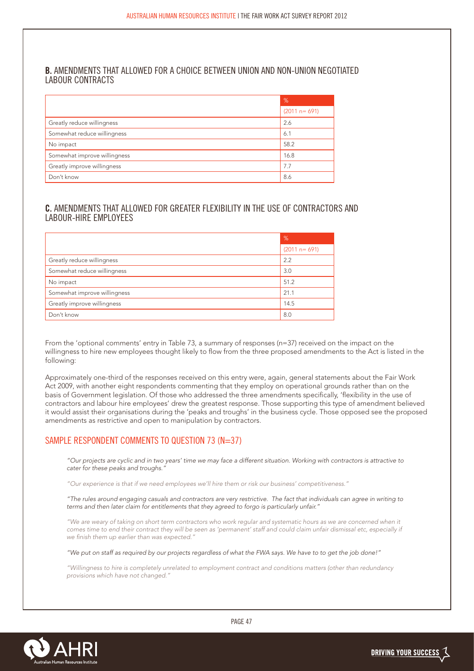#### **B.** AMENDMENTS THAT ALLOWED FOR A CHOICE BETWEEN UNION AND NON-UNION NEGOTIATED LABOUR CONTRACTS

|                              | %                |
|------------------------------|------------------|
|                              | $(2011 n = 691)$ |
| Greatly reduce willingness   | 2.6              |
| Somewhat reduce willingness  | 6.1              |
| No impact                    | 58.2             |
| Somewhat improve willingness | 16.8             |
| Greatly improve willingness  | 7.7              |
| Don't know                   | 8.6              |

#### **C.** AMENDMENTS THAT ALLOWED FOR GREATER FLEXIBILITY IN THE USE OF CONTRACTORS AND LABOUR-HIRE EMPLOYEES

|                              | %                |
|------------------------------|------------------|
|                              | $(2011 n = 691)$ |
| Greatly reduce willingness   | 2.2              |
| Somewhat reduce willingness  | 3.0              |
| No impact                    | 51.2             |
| Somewhat improve willingness | 21.1             |
| Greatly improve willingness  | 14.5             |
| Don't know                   | 8.0              |

From the 'optional comments' entry in Table 73, a summary of responses (n=37) received on the impact on the willingness to hire new employees thought likely to flow from the three proposed amendments to the Act is listed in the following:

Approximately one-third of the responses received on this entry were, again, general statements about the Fair Work Act 2009, with another eight respondents commenting that they employ on operational grounds rather than on the basis of Government legislation. Of those who addressed the three amendments specifically, 'flexibility in the use of contractors and labour hire employees' drew the greatest response. Those supporting this type of amendment believed it would assist their organisations during the 'peaks and troughs' in the business cycle. Those opposed see the proposed amendments as restrictive and open to manipulation by contractors.

#### SAMPLE RESPONDENT COMMENTS TO QUESTION 73 (N=37)

*"Our projects are cyclic and in two years' time we may face a different situation. Working with contractors is attractive to cater for these peaks and troughs."*

*"Our experience is that if we need employees we'll hire them or risk our business' competitiveness."*

*"The rules around engaging casuals and contractors are very restrictive. The fact that individuals can agree in writing to terms and then later claim for entitlements that they agreed to forgo is particularly unfair."*

*"We are weary of taking on short term contractors who work regular and systematic hours as we are concerned when it*  comes time to end their contract they will be seen as 'permanent' staff and could claim unfair dismissal etc, especially if *we finish them up earlier than was expected."*

*"We put on staff as required by our projects regardless of what the FWA says. We have to to get the job done!"*

*"Willingness to hire is completely unrelated to employment contract and conditions matters (other than redundancy provisions which have not changed."*

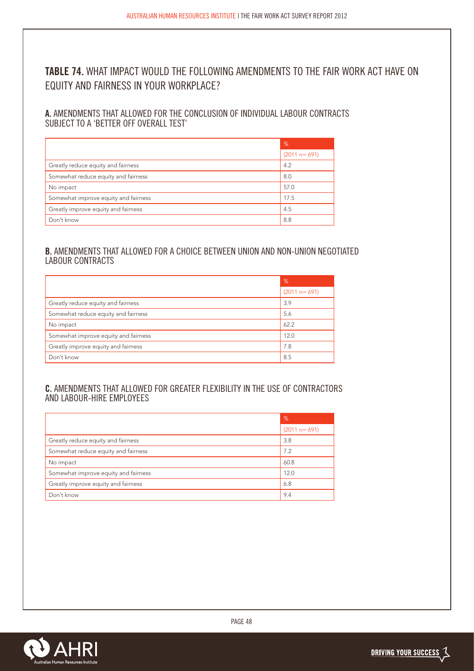## **TABLE 74.** WHAT IMPACT WOULD THE FOLLOWING AMENDMENTS TO THE FAIR WORK ACT HAVE ON EQUITY AND FAIRNESS IN YOUR WORKPLACE?

**A.** AMENDMENTS THAT ALLOWED FOR THE CONCLUSION OF INDIVIDUAL LABOUR CONTRACTS SUBJECT TO A 'BETTER OFF OVERALL TEST'

|                                      | %                |
|--------------------------------------|------------------|
|                                      | $(2011 n = 691)$ |
| Greatly reduce equity and fairness   | 4.2              |
| Somewhat reduce equity and fairness  | 8.0              |
| No impact                            | 57.0             |
| Somewhat improve equity and fairness | 17.5             |
| Greatly improve equity and fairness  | 4.5              |
| Don't know                           | 8.8              |

#### **B.** AMENDMENTS THAT ALLOWED FOR A CHOICE BETWEEN UNION AND NON-UNION NEGOTIATED LABOUR CONTRACTS

|                                      | %                |
|--------------------------------------|------------------|
|                                      | $(2011 n = 691)$ |
| Greatly reduce equity and fairness   | 3.9              |
| Somewhat reduce equity and fairness  | 5.6              |
| No impact                            | 62.2             |
| Somewhat improve equity and fairness | 12.0             |
| Greatly improve equity and fairness  | 7.8              |
| Don't know                           | 8.5              |

#### **C.** AMENDMENTS THAT ALLOWED FOR GREATER FLEXIBILITY IN THE USE OF CONTRACTORS AND LABOUR-HIRE EMPLOYEES

|                                      | $\frac{9}{6}$    |
|--------------------------------------|------------------|
|                                      | $(2011 n = 691)$ |
| Greatly reduce equity and fairness   | 3.8              |
| Somewhat reduce equity and fairness  | 7.2              |
| No impact                            | 60.8             |
| Somewhat improve equity and fairness | 12.0             |
| Greatly improve equity and fairness  | 6.8              |
| Don't know                           | 9.4              |

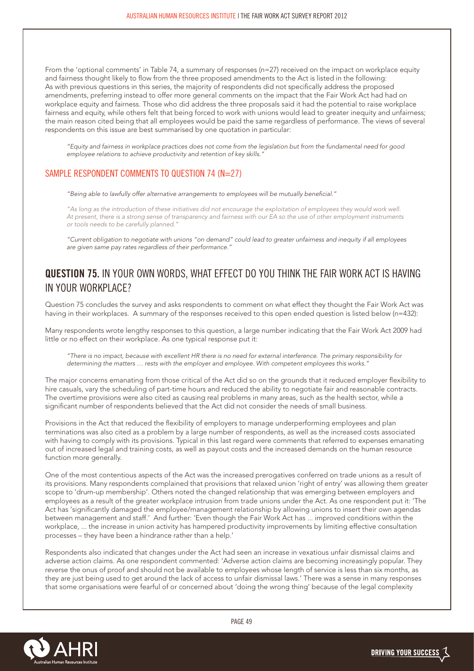From the 'optional comments' in Table 74, a summary of responses (n=27) received on the impact on workplace equity and fairness thought likely to flow from the three proposed amendments to the Act is listed in the following: As with previous questions in this series, the majority of respondents did not specifically address the proposed amendments, preferring instead to offer more general comments on the impact that the Fair Work Act had had on workplace equity and fairness. Those who did address the three proposals said it had the potential to raise workplace fairness and equity, while others felt that being forced to work with unions would lead to greater inequity and unfairness; the main reason cited being that all employees would be paid the same regardless of performance. The views of several respondents on this issue are best summarised by one quotation in particular:

*"Equity and fairness in workplace practices does not come from the legislation but from the fundamental need for good employee relations to achieve productivity and retention of key skills."*

#### SAMPLE RESPONDENT COMMENTS TO QUESTION 74 ( $N=27$ )

*"Being able to lawfully offer alternative arrangements to employees will be mutually beneficial."*

*"As long as the introduction of these initiatives did not encourage the exploitation of employees they would work well. At present, there is a strong sense of transparency and fairness with our EA so the use of other employment instruments or tools needs to be carefully planned."*

*"Current obligation to negotiate with unions "on demand" could lead to greater unfairness and inequity if all employees are given same pay rates regardless of their performance."*

#### **QUESTION 75.** IN YOUR OWN WORDS, WHAT EFFECT DO YOU THINK THE FAIR WORK ACT IS HAVING IN YOUR WORKPLACE?

Question 75 concludes the survey and asks respondents to comment on what effect they thought the Fair Work Act was having in their workplaces. A summary of the responses received to this open ended question is listed below (n=432):

Many respondents wrote lengthy responses to this question, a large number indicating that the Fair Work Act 2009 had little or no effect on their workplace. As one typical response put it:

*"There is no impact, because with excellent HR there is no need for external interference. The primary responsibility for determining the matters … rests with the employer and employee. With competent employees this works."*

The major concerns emanating from those critical of the Act did so on the grounds that it reduced employer flexibility to hire casuals, vary the scheduling of part-time hours and reduced the ability to negotiate fair and reasonable contracts. The overtime provisions were also cited as causing real problems in many areas, such as the health sector, while a significant number of respondents believed that the Act did not consider the needs of small business.

Provisions in the Act that reduced the flexibility of employers to manage underperforming employees and plan terminations was also cited as a problem by a large number of respondents, as well as the increased costs associated with having to comply with its provisions. Typical in this last regard were comments that referred to expenses emanating out of increased legal and training costs, as well as payout costs and the increased demands on the human resource function more generally.

One of the most contentious aspects of the Act was the increased prerogatives conferred on trade unions as a result of its provisions. Many respondents complained that provisions that relaxed union 'right of entry' was allowing them greater scope to 'drum-up membership'. Others noted the changed relationship that was emerging between employers and employees as a result of the greater workplace intrusion from trade unions under the Act. As one respondent put it: 'The Act has 'significantly damaged the employee/management relationship by allowing unions to insert their own agendas between management and staff.' And further: 'Even though the Fair Work Act has ... improved conditions within the workplace, ... the increase in union activity has hampered productivity improvements by limiting effective consultation processes – they have been a hindrance rather than a help.'

Respondents also indicated that changes under the Act had seen an increase in vexatious unfair dismissal claims and adverse action claims. As one respondent commented: 'Adverse action claims are becoming increasingly popular. They reverse the onus of proof and should not be available to employees whose length of service is less than six months, as they are just being used to get around the lack of access to unfair dismissal laws.' There was a sense in many responses that some organisations were fearful of or concerned about 'doing the wrong thing' because of the legal complexity

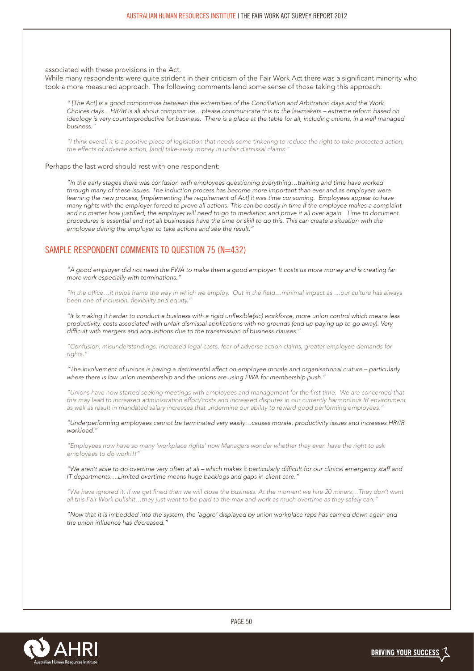associated with these provisions in the Act.

While many respondents were quite strident in their criticism of the Fair Work Act there was a significant minority who took a more measured approach. The following comments lend some sense of those taking this approach:

*" [The Act] is a good compromise between the extremities of the Conciliation and Arbitration days and the Work Choices days…HR/IR is all about compromise…please communicate this to the lawmakers – extreme reform based on ideology is very counterproductive for business. There is a place at the table for all, including unions, in a well managed business."*

*"I think overall it is a positive piece of legislation that needs some tinkering to reduce the right to take protected action, the effects of adverse action, [and] take-away money in unfair dismissal claims."*

Perhaps the last word should rest with one respondent:

*"In the early stages there was confusion with employees questioning everything…training and time have worked through many of these issues. The induction process has become more important than ever and as employers were learning the new process, [implementing the requirement of Act] it was time consuming. Employees appear to have many rights with the employer forced to prove all actions. This can be costly in time if the employee makes a complaint*  and no matter how justified, the employer will need to go to mediation and prove it all over again. Time to document *procedures is essential and not all businesses have the time or skill to do this. This can create a situation with the employee daring the employer to take actions and see the result."*

#### SAMPLE RESPONDENT COMMENTS TO QUESTION 75 (N=432)

*"A good employer did not need the FWA to make them a good employer. It costs us more money and is creating far more work especially with terminations."*

*"In the office…it helps frame the way in which we employ. Out in the field…minimal impact as …our culture has always been one of inclusion, flexibility and equity."*

*"It is making it harder to conduct a business with a rigid unflexible(sic) workforce, more union control which means less productivity, costs associated with unfair dismissal applications with no grounds (end up paying up to go away). Very difficult with mergers and acquisitions due to the transmission of business clauses."*

*"Confusion, misunderstandings, increased legal costs, fear of adverse action claims, greater employee demands for rights."*

*"The involvement of unions is having a detrimental affect on employee morale and organisational culture – particularly where there is low union membership and the unions are using FWA for membership push."*

*"Unions have now started seeking meetings with employees and management for the first time. We are concerned that this may lead to increased administration effort/costs and increased disputes in our currently harmonious IR environment as well as result in mandated salary increases that undermine our ability to reward good performing employees."*

*"Underperforming employees cannot be terminated very easily…causes morale, productivity issues and increases HR/IR workload."*

*"Employees now have so many 'workplace rights' now Managers wonder whether they even have the right to ask employees to do work!!!"*

*"We aren't able to do overtime very often at all – which makes it particularly difficult for our clinical emergency staff and IT departments….Limited overtime means huge backlogs and gaps in client care."*

*"We have ignored it. If we get fined then we will close the business. At the moment we hire 20 miners…They don't want all this Fair Work bullshit…they just want to be paid to the max and work as much overtime as they safely can."*

*"Now that it is imbedded into the system, the 'aggro' displayed by union workplace reps has calmed down again and the union influence has decreased."*